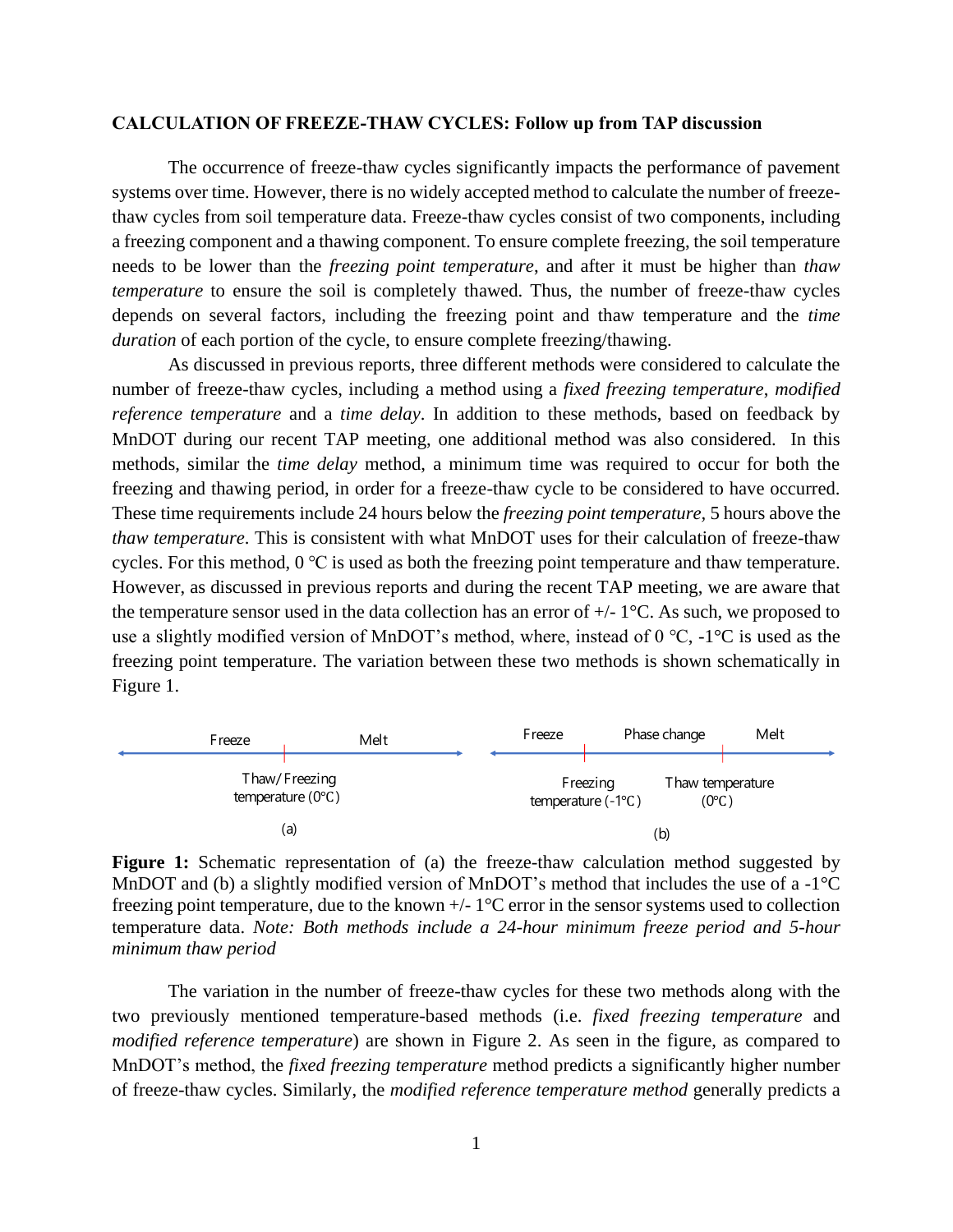## **CALCULATION OF FREEZE-THAW CYCLES: Follow up from TAP discussion**

The occurrence of freeze-thaw cycles significantly impacts the performance of pavement systems over time. However, there is no widely accepted method to calculate the number of freezethaw cycles from soil temperature data. Freeze-thaw cycles consist of two components, including a freezing component and a thawing component. To ensure complete freezing, the soil temperature needs to be lower than the *freezing point temperature*, and after it must be higher than *thaw temperature* to ensure the soil is completely thawed. Thus, the number of freeze-thaw cycles depends on several factors, including the freezing point and thaw temperature and the *time duration* of each portion of the cycle, to ensure complete freezing/thawing.

As discussed in previous reports, three different methods were considered to calculate the number of freeze-thaw cycles, including a method using a *fixed freezing temperature*, *modified reference temperature* and a *time delay*. In addition to these methods, based on feedback by MnDOT during our recent TAP meeting, one additional method was also considered. In this methods, similar the *time delay* method, a minimum time was required to occur for both the freezing and thawing period, in order for a freeze-thaw cycle to be considered to have occurred. These time requirements include 24 hours below the *freezing point temperature,* 5 hours above the *thaw temperature*. This is consistent with what MnDOT uses for their calculation of freeze-thaw cycles. For this method, 0 ℃ is used as both the freezing point temperature and thaw temperature. However, as discussed in previous reports and during the recent TAP meeting, we are aware that the temperature sensor used in the data collection has an error of  $+/-1$  °C. As such, we proposed to use a slightly modified version of MnDOT's method, where, instead of  $0^{\circ}C$ ,  $-1^{\circ}C$  is used as the freezing point temperature. The variation between these two methods is shown schematically in Figure 1.



**Figure 1:** Schematic representation of (a) the freeze-thaw calculation method suggested by MnDOT and (b) a slightly modified version of MnDOT's method that includes the use of a  $-1^{\circ}C$ freezing point temperature, due to the known  $+/-1$ °C error in the sensor systems used to collection temperature data. *Note: Both methods include a 24-hour minimum freeze period and 5-hour minimum thaw period*

The variation in the number of freeze-thaw cycles for these two methods along with the two previously mentioned temperature-based methods (i.e. *fixed freezing temperature* and *modified reference temperature*) are shown in Figure 2. As seen in the figure, as compared to MnDOT's method, the *fixed freezing temperature* method predicts a significantly higher number of freeze-thaw cycles. Similarly, the *modified reference temperature method* generally predicts a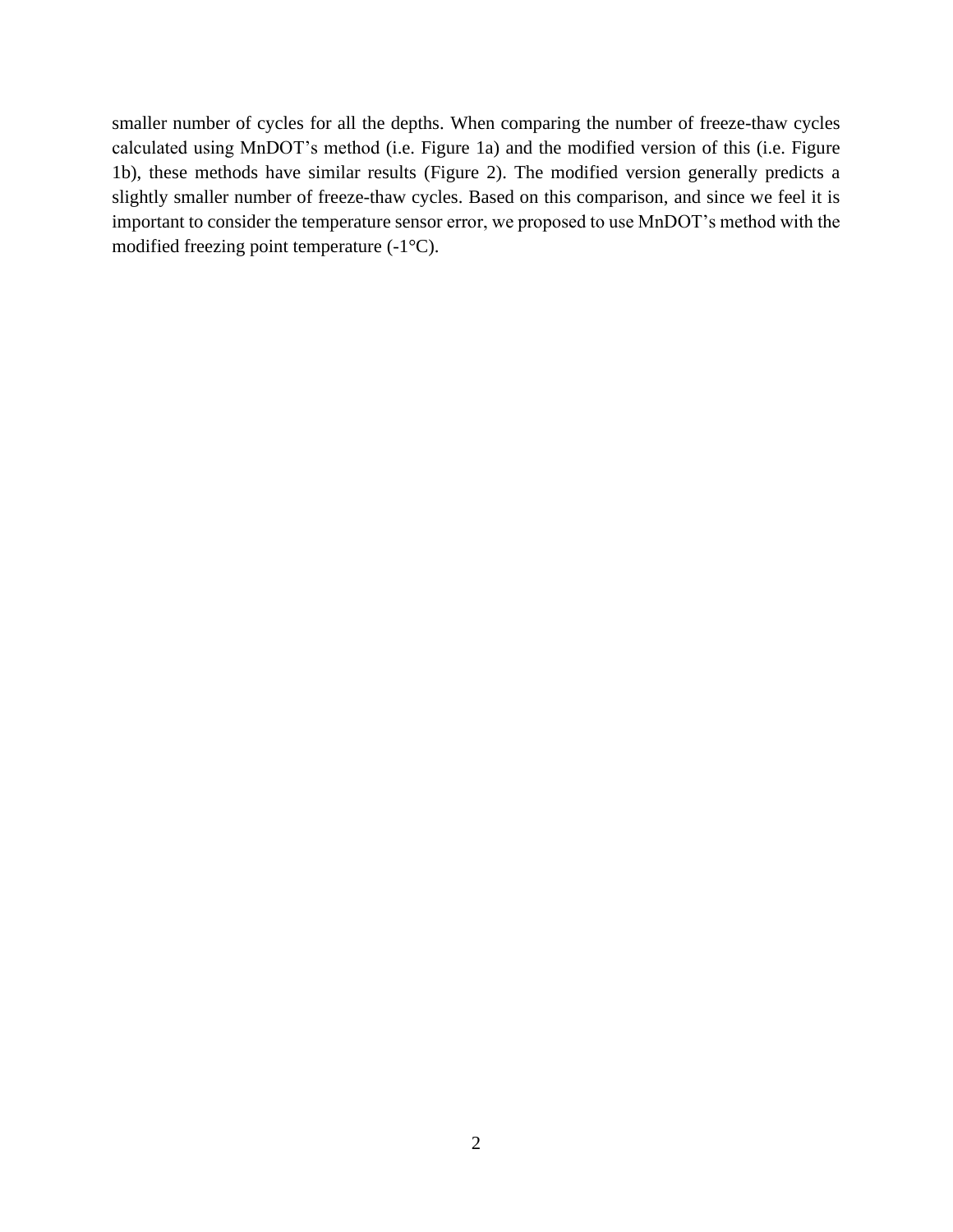smaller number of cycles for all the depths. When comparing the number of freeze-thaw cycles calculated using MnDOT's method (i.e. Figure 1a) and the modified version of this (i.e. Figure 1b), these methods have similar results (Figure 2). The modified version generally predicts a slightly smaller number of freeze-thaw cycles. Based on this comparison, and since we feel it is important to consider the temperature sensor error, we proposed to use MnDOT's method with the modified freezing point temperature (-1°C).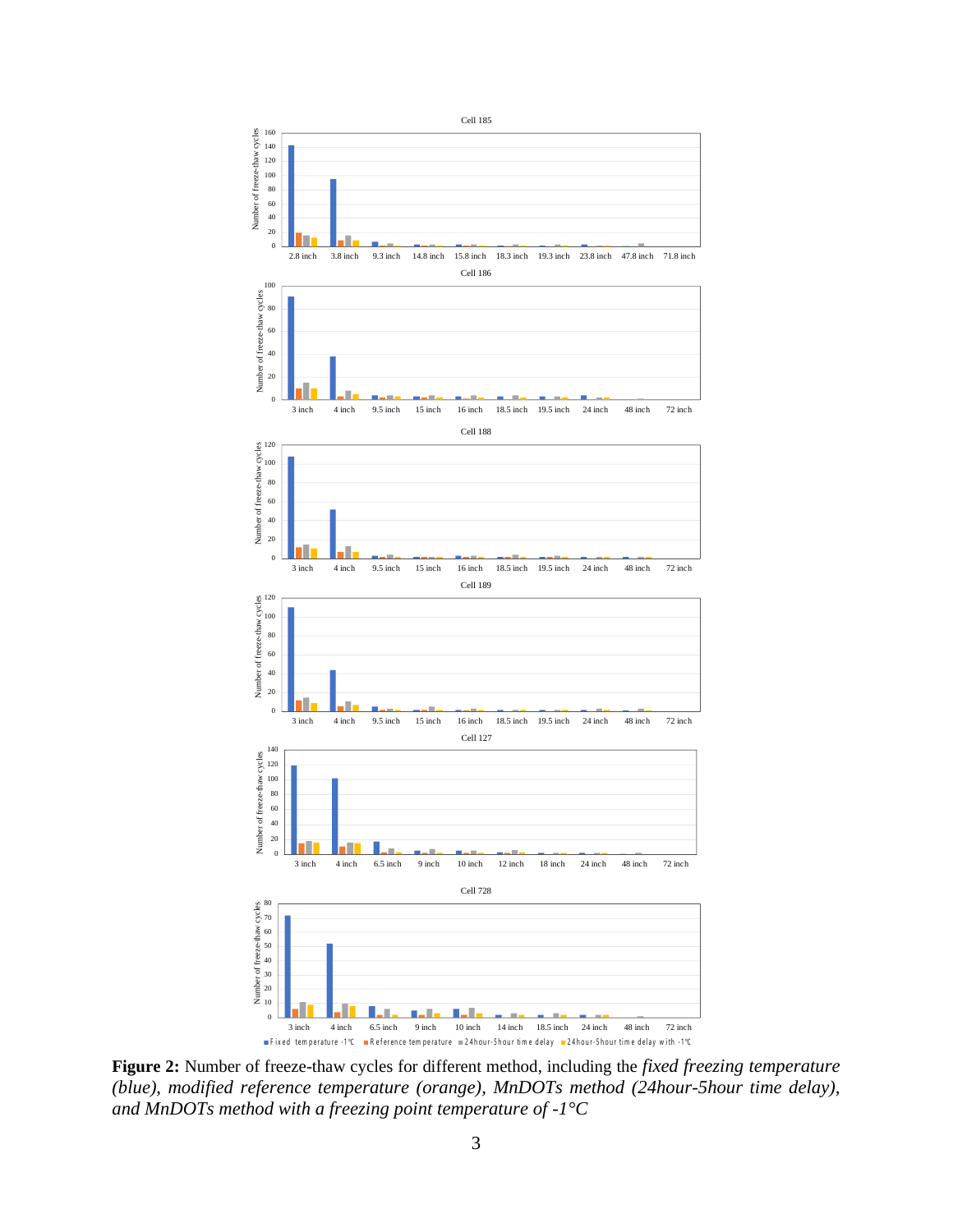

**Figure 2:** Number of freeze-thaw cycles for different method, including the *fixed freezing temperature (blue)*, *modified reference temperature (orange), MnDOTs method (24hour-5hour time delay), and MnDOTs method with a freezing point temperature of -1°C*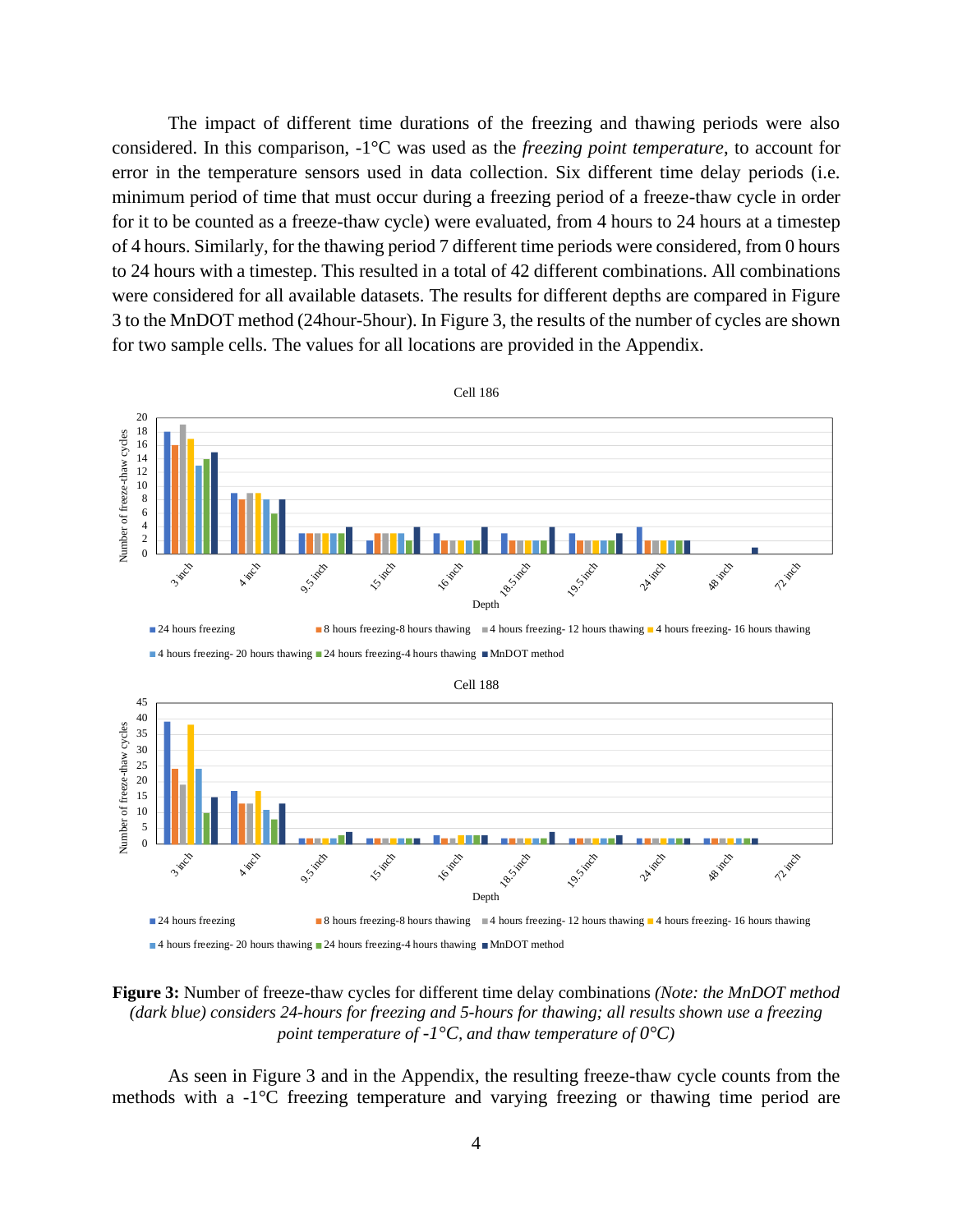The impact of different time durations of the freezing and thawing periods were also considered. In this comparison, -1°C was used as the *freezing point temperature*, to account for error in the temperature sensors used in data collection. Six different time delay periods (i.e. minimum period of time that must occur during a freezing period of a freeze-thaw cycle in order for it to be counted as a freeze-thaw cycle) were evaluated, from 4 hours to 24 hours at a timestep of 4 hours. Similarly, for the thawing period 7 different time periods were considered, from 0 hours to 24 hours with a timestep. This resulted in a total of 42 different combinations. All combinations were considered for all available datasets. The results for different depths are compared in Figure 3 to the MnDOT method (24hour-5hour). In Figure 3, the results of the number of cycles are shown for two sample cells. The values for all locations are provided in the Appendix.



4 hours freezing- 20 hours thawing 24 hours freezing-4 hours thawing  $MnDOT$  method

**Figure 3:** Number of freeze-thaw cycles for different time delay combinations *(Note: the MnDOT method (dark blue) considers 24-hours for freezing and 5-hours for thawing; all results shown use a freezing point temperature of -1°C, and thaw temperature of*  $0^{\circ}C$ *)* 

As seen in Figure 3 and in the Appendix, the resulting freeze-thaw cycle counts from the methods with a -1°C freezing temperature and varying freezing or thawing time period are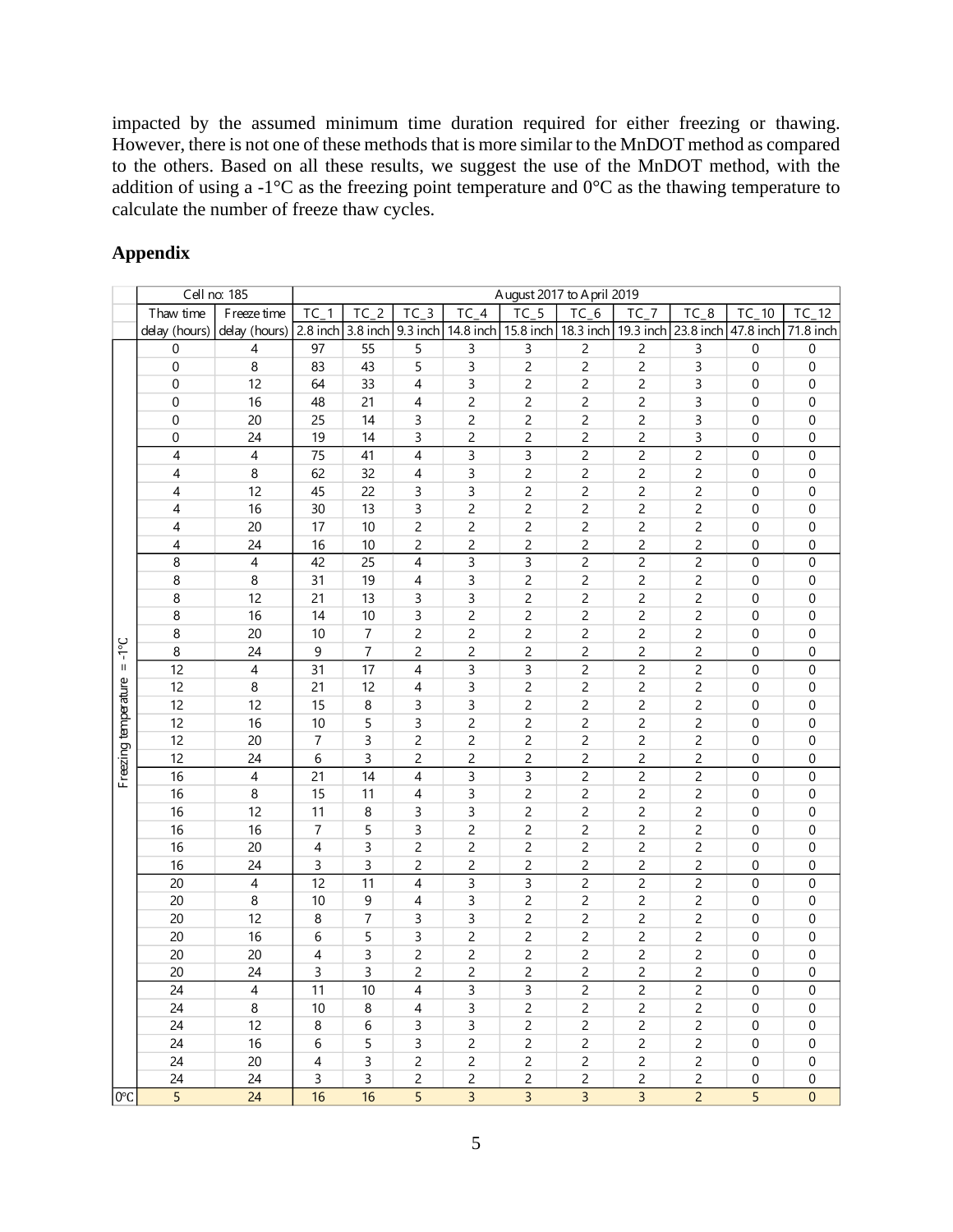impacted by the assumed minimum time duration required for either freezing or thawing. However, there is not one of these methods that is more similar to the MnDOT method as compared to the others. Based on all these results, we suggest the use of the MnDOT method, with the addition of using a -1 $^{\circ}$ C as the freezing point temperature and  $0^{\circ}$ C as the thawing temperature to calculate the number of freeze thaw cycles.

## **Appendix**

|                      |                | Cell no: 185   |                |                  |                            |                | August 2017 to April 2019     |                |                |                |                  |                  |
|----------------------|----------------|----------------|----------------|------------------|----------------------------|----------------|-------------------------------|----------------|----------------|----------------|------------------|------------------|
|                      | Thaw time      | F reeze time   | $TC_1$         | $TC_2$           | $TC_3$                     | $TC_4$         | $TC_5$                        | $TC_6$         | $TC_7$         | $TC_8$         | $TC_10$          | $TC_12$          |
|                      | delay (hours)  | delay (hours)  |                |                  | 2.8 inch 3.8 inch 9.3 inch |                | 14.8 inch 15.8 inch 18.3 inch |                | 19.3 inch      | 23.8 inch      | 47.8 inch        | 71.8 inch        |
|                      | 0              | 4              | 97             | 55               | 5                          | 3              | 3                             | 2              | 2              | 3              | 0                | 0                |
|                      | 0              | 8              | 83             | 43               | 5                          | 3              | $\overline{c}$                | $\overline{c}$ | $\overline{c}$ | 3              | $\boldsymbol{0}$ | 0                |
|                      | $\mathbf 0$    | 12             | 64             | 33               | 4                          | 3              | $\overline{c}$                | $\overline{c}$ | $\overline{c}$ | 3              | 0                | 0                |
|                      | $\mathbf 0$    | 16             | 48             | 21               | 4                          | $\overline{c}$ | $\overline{c}$                | $\overline{c}$ | $\overline{c}$ | 3              | 0                | 0                |
|                      | 0              | 20             | 25             | 14               | 3                          | $\overline{c}$ | $\overline{c}$                | $\overline{c}$ | 2              | 3              | $\boldsymbol{0}$ | $\pmb{0}$        |
|                      | 0              | 24             | 19             | 14               | 3                          | $\overline{c}$ | $\overline{c}$                | $\overline{c}$ | 2              | 3              | 0                | 0                |
|                      | $\overline{4}$ | 4              | 75             | 41               | 4                          | 3              | 3                             | $\overline{c}$ | 2              | $\overline{c}$ | 0                | 0                |
|                      | 4              | 8              | 62             | 32               | 4                          | 3              | 2                             | 2              | 2              | 2              | 0                | 0                |
|                      | 4              | 12             | 45             | 22               | 3                          | 3              | $\overline{c}$                | $\overline{c}$ | $\overline{c}$ | $\overline{c}$ | 0                | 0                |
|                      | 4              | 16             | 30             | 13               | 3                          | $\overline{c}$ | $\overline{c}$                | $\overline{c}$ | $\overline{c}$ | $\overline{c}$ | 0                | 0                |
|                      | 4              | 20             | 17             | $10$             | $\overline{c}$             | 2              | $\overline{c}$                | $\overline{c}$ | 2              | $\overline{c}$ | 0                | 0                |
|                      | 4              | 24             | 16             | 10               | $\overline{c}$             | $\overline{c}$ | $\overline{c}$                | 2              | $\overline{c}$ | $\overline{c}$ | 0                | 0                |
|                      | 8              | $\overline{4}$ | 42             | 25               | $\overline{4}$             | 3              | $\overline{3}$                | $\overline{c}$ | $\overline{c}$ | $\overline{c}$ | $\boldsymbol{0}$ | $\boldsymbol{0}$ |
|                      | 8              | 8              | 31             | 19               | 4                          | 3              | $\overline{c}$                | $\overline{c}$ | $\overline{c}$ | $\overline{c}$ | 0                | 0                |
|                      | 8              | 12             | 21             | 13               | 3                          | 3              | $\overline{c}$                | $\overline{c}$ | $\overline{c}$ | $\overline{c}$ | 0                | 0                |
|                      | 8              | 16             | 14             | $10$             | 3                          | 2              | $\overline{c}$                | $\overline{c}$ | 2              | 2              | 0                | $\pmb{0}$        |
|                      | 8              | 20             | 10             | 7                | 2                          | $\overline{c}$ | $\overline{c}$                | $\overline{c}$ | 2              | 2              | 0                | 0                |
| $3^{\circ}$          | 8              | 24             | 9              | 7                | 2                          | 2              | $\overline{c}$                | 2              | 2              | $\overline{c}$ | 0                | 0                |
| $\rm H$              | 12             | $\overline{4}$ | 31             | 17               | 4                          | 3              | $\mathsf 3$                   | $\overline{c}$ | $\overline{c}$ | $\mathsf{2}\,$ | 0                | 0                |
|                      | 12             | 8              | 21             | 12               | 4                          | 3              | 2                             | $\overline{c}$ | 2              | $\overline{c}$ | 0                | 0                |
|                      | 12             | 12             | 15             | 8                | 3                          | 3              | $\overline{c}$                | $\overline{c}$ | $\overline{c}$ | $\overline{c}$ | 0                | 0                |
|                      | 12             | 16             | 10             | 5                | 3                          | 2              | $\overline{c}$                | $\overline{c}$ | $\overline{c}$ | $\overline{c}$ | 0                | 0                |
|                      | 12             | 20             | $\overline{7}$ | 3                | $\overline{c}$             | $\overline{c}$ | $\overline{c}$                | $\overline{c}$ | $\overline{c}$ | $\overline{c}$ | 0                | 0                |
|                      | 12             | 24             | 6              | 3                | $\overline{c}$             | $\overline{c}$ | $\overline{c}$                | $\overline{c}$ | $\overline{c}$ | $\overline{c}$ | $\boldsymbol{0}$ | 0                |
| Freezing temperature | 16             | $\overline{4}$ | 21             | 14               | 4                          | 3              | $\overline{3}$                | $\overline{c}$ | $\overline{c}$ | $\overline{c}$ | $\boldsymbol{0}$ | 0                |
|                      | 16             | $\bf8$         | 15             | 11               | 4                          | 3              | $\overline{c}$                | $\overline{c}$ | $\overline{c}$ | $\overline{c}$ | 0                | 0                |
|                      | 16             | 12             | 11             | 8                | 3                          | 3              | $\overline{c}$                | $\overline{c}$ | 2              | $\overline{c}$ | 0                | 0                |
|                      | 16             | 16             | 7              | 5                | 3                          | 2              | $\overline{c}$                | $\overline{c}$ | 2              | 2              | 0                | 0                |
|                      | 16             | 20             | 4              | 3                | $\overline{c}$             | 2              | $\overline{c}$                | 2              | $\overline{c}$ | $\overline{c}$ | 0                | 0                |
|                      | 16             | 24             | 3              | 3                | $\overline{c}$             | 2              | $\overline{c}$                | $\overline{c}$ | 2              | $\overline{c}$ | 0                | 0                |
|                      | 20             | $\overline{4}$ | 12             | 11               | 4                          | 3              | 3                             | $\overline{c}$ | $\overline{c}$ | $\overline{c}$ | 0                | 0                |
|                      | 20             | 8              | 10             | $\boldsymbol{9}$ | 4                          | 3              | $\overline{c}$                | $\overline{c}$ | $\overline{c}$ | $\overline{c}$ | 0                | $\boldsymbol{0}$ |
|                      | 20             | 12             | 8              | 7                | 3                          | 3              | $\overline{c}$                | 2              | $\overline{c}$ | $\overline{c}$ | 0                | 0                |
|                      | 20             | 16             | 6              | 5                | 3                          | $\overline{c}$ | $\overline{c}$                | $\overline{c}$ | $\overline{c}$ | $\overline{c}$ | 0                | 0                |
|                      | 20             | 20             | 4              | 3                | $\overline{c}$             | $\overline{c}$ | $\overline{c}$                | $\overline{c}$ | $\overline{c}$ | $\overline{c}$ | 0                | 0                |
|                      | 20             | 24             | 3              | 3                | $\overline{c}$             | $\overline{c}$ | $\overline{c}$                | $\overline{c}$ | $\overline{c}$ | $\overline{c}$ | 0                | 0                |
|                      | 24             | 4              | 11             | 10               | 4                          | 3              | 3                             | $\overline{c}$ | 2              | 2              | 0                | 0                |
|                      | 24             | 8              | 10             | 8                | 4                          | 3              | $\overline{c}$                | $\overline{c}$ | 2              | 2              | 0                | 0                |
|                      | 24             | 12             | 8              | 6                | 3                          | 3              | $\overline{c}$                | 2              | 2              | 2              | 0                | 0                |
|                      | 24             | 16             | 6              | 5                | 3                          | $\overline{c}$ | 2                             | 2              | 2              | 2              | 0                | 0                |
|                      | 24             | 20             | $\overline{4}$ | 3                | $\overline{c}$             | 2              | $\overline{c}$                | 2              | 2              | $\overline{c}$ | 0                | 0                |
|                      | 24             | 24             | $\overline{3}$ | 3                | $\overline{c}$             | $\overline{c}$ | $\overline{c}$                | $\overline{c}$ | $\overline{c}$ | $\overline{c}$ | $\boldsymbol{0}$ | 0                |
| 0°C                  | 5              | 24             | 16             | 16               | 5                          | $\overline{3}$ | $\overline{3}$                | 3              | $\overline{3}$ | $\overline{2}$ | 5                | $\boldsymbol{0}$ |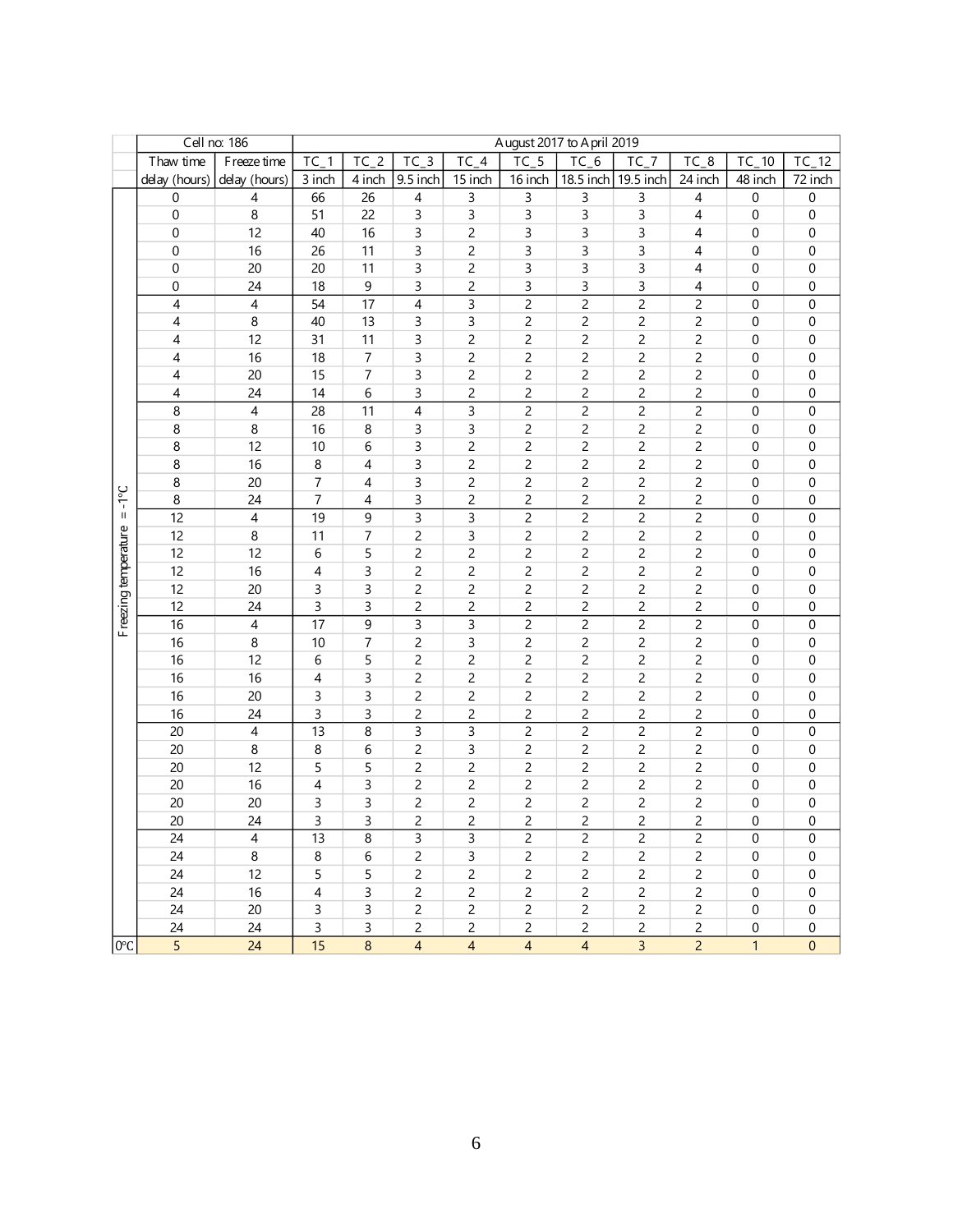| Cell no: 186<br>August 2017 to April 2019<br>$TC_5$<br>$TC_4$<br>$TC_6$<br>Thaw time<br>$TC_1$<br>$TC_2$<br>$TC_3$<br>$TC_7$<br>F reeze time<br>$TC_8$<br>$TC_10$ |                             |                |        |             |                |                |                |                |                |                         |                  |                  |
|-------------------------------------------------------------------------------------------------------------------------------------------------------------------|-----------------------------|----------------|--------|-------------|----------------|----------------|----------------|----------------|----------------|-------------------------|------------------|------------------|
|                                                                                                                                                                   |                             |                |        |             |                |                |                |                |                |                         |                  | $TC_12$          |
|                                                                                                                                                                   | delay (hours) delay (hours) |                | 3 inch | 4 inch      | 9.5 inch       | 15 inch        | 16 inch        | 18.5 inch      | 19.5 inch      | 24 inch                 | 48 inch          | 72 inch          |
|                                                                                                                                                                   | 0                           | $\overline{4}$ | 66     | 26          | $\overline{4}$ | 3              | 3              | 3              | 3              | 4                       | $\pmb{0}$        | 0                |
|                                                                                                                                                                   | $\boldsymbol{0}$            | 8              | 51     | 22          | 3              | 3              | 3              | 3              | 3              | 4                       | 0                | 0                |
|                                                                                                                                                                   | $\mathbf{0}$                | 12             | 40     | 16          | 3              | 2              | 3              | 3              | 3              | 4                       | 0                | 0                |
|                                                                                                                                                                   | $\mathbf 0$                 | 16             | 26     | 11          | 3              | 2              | 3              | 3              | 3              | 4                       | $\boldsymbol{0}$ | $\pmb{0}$        |
|                                                                                                                                                                   | $\mathbf 0$                 | 20             | 20     | 11          | 3              | 2              | 3              | 3              | 3              | 4                       | $\boldsymbol{0}$ | 0                |
|                                                                                                                                                                   | 0                           | 24             | 18     | 9           | 3              | 2              | 3              | 3              | 3              | 4                       | $\pmb{0}$        | 0                |
|                                                                                                                                                                   | 4                           | $\overline{4}$ | 54     | 17          | $\overline{4}$ | 3              | $\overline{c}$ | $\overline{c}$ | $\overline{c}$ | $\overline{c}$          | $\boldsymbol{0}$ | 0                |
|                                                                                                                                                                   | 4                           | 8              | 40     | 13          | 3              | 3              | 2              | 2              | 2              | 2                       | 0                | 0                |
|                                                                                                                                                                   | 4                           | 12             | 31     | 11          | 3              | 2              | 2              | $\overline{c}$ | 2              | 2                       | 0                | 0                |
|                                                                                                                                                                   | 4                           | 16             | 18     | 7           | 3              | 2              | 2              | $\overline{c}$ | $\overline{c}$ | $\overline{c}$          | 0                | 0                |
|                                                                                                                                                                   | 4                           | 20             | 15     | 7           | 3              | 2              | $\overline{c}$ | $\overline{c}$ | $\overline{c}$ | $\overline{c}$          | 0                | 0                |
|                                                                                                                                                                   | 4                           | 24             | 14     | 6           | 3              | 2              | 2              | $\overline{c}$ | 2              | 2                       | 0                | 0                |
|                                                                                                                                                                   | 8                           | $\overline{4}$ | 28     | 11          | 4              | 3              | $\overline{c}$ | $\overline{c}$ | $\overline{c}$ | $\overline{c}$          | 0                | 0                |
|                                                                                                                                                                   | 8                           | 8              | 16     | 8           | 3              | 3              | 2              | $\overline{c}$ | $\overline{c}$ | $\overline{c}$          | $\mathbf 0$      | 0                |
|                                                                                                                                                                   | 8                           | 12             | 10     | 6           | 3              | 2              | 2              | $\overline{c}$ | $\overline{c}$ | $\overline{c}$          | $\mathbf 0$      | 0                |
|                                                                                                                                                                   | 8                           | 16             | 8      | 4           | 3              | 2              | 2              | $\overline{c}$ | $\overline{c}$ | $\overline{c}$          | 0                | 0                |
|                                                                                                                                                                   | 8                           | 20             | 7      | 4           | 3              | 2              | 2              | $\overline{c}$ | 2              | 2                       | 0                | 0                |
| $3^{\circ}$                                                                                                                                                       | 8                           | 24             | 7      | 4           | 3              | 2              | 2              | 2              | $\overline{c}$ | 2                       | 0                | 0                |
| $\sf II$                                                                                                                                                          | 12                          | $\overline{4}$ | 19     | 9           | 3              | 3              | 2              | 2              | $\overline{c}$ | $\overline{c}$          | 0                | $\mathbf 0$      |
|                                                                                                                                                                   | 12                          | 8              | 11     | 7           | 2              | 3              | 2              | 2              | 2              | 2                       | 0                | 0                |
|                                                                                                                                                                   | 12                          | 12             | 6      | 5           | 2              | 2              | 2              | $\overline{c}$ | $\overline{c}$ | $\overline{c}$          | 0                | 0                |
|                                                                                                                                                                   | 12                          | 16             | 4      | 3           | 2              | 2              | 2              | $\overline{c}$ | $\overline{c}$ | $\overline{c}$          | 0                | 0                |
|                                                                                                                                                                   | 12                          | 20             | 3      | 3           | 2              | 2              | 2              | $\overline{c}$ | 2              | $\overline{c}$          | 0                | 0                |
|                                                                                                                                                                   | 12                          | 24             | 3      | 3           | 2              | 2              | 2              | $\overline{c}$ | $\overline{c}$ | $\overline{c}$          | 0                | 0                |
| Freezing temperature                                                                                                                                              | 16                          | $\overline{4}$ | 17     | 9           | 3              | 3              | $\overline{c}$ | $\overline{c}$ | $\mathsf{2}\,$ | $\overline{c}$          | $\boldsymbol{0}$ | 0                |
|                                                                                                                                                                   | 16                          | 8              | 10     | 7           | 2              | 3              | 2              | $\overline{c}$ | $\overline{c}$ | $\overline{c}$          | $\boldsymbol{0}$ | $\pmb{0}$        |
|                                                                                                                                                                   | 16                          | 12             | 6      | 5           | $\overline{c}$ | 2              | 2              | $\overline{c}$ | $\mathsf{2}\,$ | $\overline{c}$          | $\boldsymbol{0}$ | $\boldsymbol{0}$ |
|                                                                                                                                                                   | 16                          | 16             | 4      | 3           | 2              | 2              | 2              | $\overline{c}$ | $\overline{c}$ | 2                       | $\pmb{0}$        | $\pmb{0}$        |
|                                                                                                                                                                   | 16                          | 20             | 3      | 3           | 2              | 2              | 2              | $\overline{c}$ | 2              | 2                       | 0                | 0                |
|                                                                                                                                                                   | 16                          | 24             | 3      | 3           | 2              | 2              | 2              | 2              | 2              | 2                       | 0                | 0                |
|                                                                                                                                                                   | 20                          | 4              | 13     | 8           | 3              | 3              | 2              | $\overline{c}$ | $\overline{c}$ | $\overline{c}$          | $\boldsymbol{0}$ | 0                |
|                                                                                                                                                                   | 20                          | 8              | 8      | 6           | 2              | 3              | 2              | $\overline{c}$ | $\overline{c}$ | $\overline{c}$          | 0                | 0                |
|                                                                                                                                                                   | 20                          | 12             | 5      | 5           | 2              | 2              | 2              | $\overline{c}$ | $\overline{c}$ | $\overline{c}$          | 0                | 0                |
|                                                                                                                                                                   | 20                          | 16             | 4      | 3           | 2              | 2              | 2              | $\overline{c}$ | 2              | $\overline{c}$          | 0                | 0                |
|                                                                                                                                                                   | 20                          | 20             | 3      | 3           | 2              | 2              | 2              | 2              | 2              | $\overline{c}$          | 0                | 0                |
|                                                                                                                                                                   | 20                          | 24             | 3      | $\mathsf 3$ | $\overline{c}$ | 2              | $\overline{c}$ | $\overline{c}$ | $\overline{c}$ | $\overline{c}$          | 0                | 0                |
|                                                                                                                                                                   | 24                          | 4              | 13     | 8           | 3              | 3              | 2              | 2              | $\overline{c}$ | 2                       | 0                | 0                |
|                                                                                                                                                                   | 24                          | 8              | 8      | 6           | 2              | 3              | $\overline{c}$ | $\overline{c}$ | $\overline{c}$ | $\overline{c}$          | $\boldsymbol{0}$ | $\boldsymbol{0}$ |
|                                                                                                                                                                   | 24                          | 12             | 5      | 5           | $\overline{c}$ | $\overline{c}$ | $\overline{c}$ | $\overline{c}$ | 2              | $\overline{c}$          | $\boldsymbol{0}$ | 0                |
|                                                                                                                                                                   | 24                          | 16             | 4      | 3           | 2              | $\overline{c}$ | $\overline{c}$ | $\overline{c}$ | 2              | 2                       | 0                | 0                |
|                                                                                                                                                                   | 24                          | 20             | 3      | 3           | 2              | 2              | 2              | 2              | 2              | 2                       | 0                | 0                |
|                                                                                                                                                                   | 24                          | 24             | 3      | 3           | 2              | 2              | 2              | 2              | 2              | $\overline{\mathbf{c}}$ | 0                | 0                |
| 0°C                                                                                                                                                               | 5                           | 24             | 15     | $\bf8$      | 4              | $\overline{4}$ | $\overline{4}$ | $\overline{4}$ | $\overline{3}$ | $\overline{c}$          | $\mathbf{1}$     | $\mathbf{0}$     |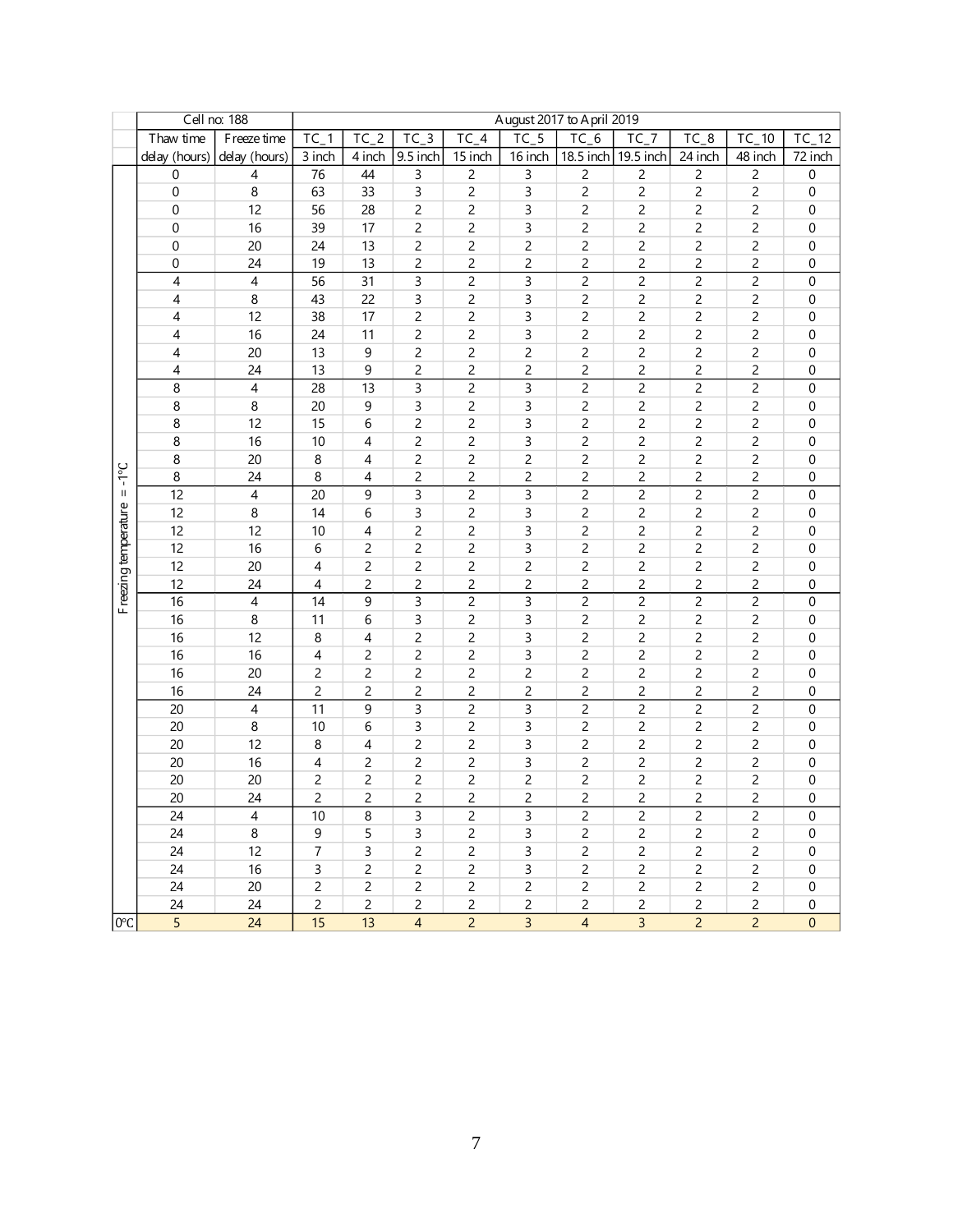|                      |                | Cell no: 188   |                |                |                        |                    |                | August 2017 to A pril 2019 |                |                         |                |                  |
|----------------------|----------------|----------------|----------------|----------------|------------------------|--------------------|----------------|----------------------------|----------------|-------------------------|----------------|------------------|
|                      | Thaw time      | F reeze time   | $TC_1$         | $TC_2$         | $TC_3$                 | $\overline{TC}$ _4 | $TC_5$         | $TC_6$                     | $TC_7$         | $TC_8$                  | TC_10          | TC<br>$-12$      |
|                      | delay (hours)  | delay (hours)  | 3 inch         | 4 inch         | $\overline{9}$ .5 inch | 15 inch            | 16 inch        | 18.5 inch 19.5 inch        |                | 24 inch                 | 48 inch        | 72 inch          |
|                      | $\mathbf 0$    | 4              | 76             | 44             | 3                      | $\overline{2}$     | 3              | $\overline{c}$             | 2              | $\overline{c}$          | $\overline{c}$ | $\boldsymbol{0}$ |
|                      | 0              | 8              | 63             | 33             | 3                      | $\overline{c}$     | 3              | $\overline{c}$             | $\overline{c}$ | $\overline{c}$          | $\overline{c}$ | $\pmb{0}$        |
|                      | 0              | 12             | 56             | 28             | 2                      | 2                  | 3              | 2                          | 2              | 2                       | 2              | 0                |
|                      | 0              | 16             | 39             | 17             | 2                      | 2                  | 3              | 2                          | 2              | $\overline{c}$          | 2              | 0                |
|                      | 0              | 20             | 24             | 13             | 2                      | 2                  | 2              | 2                          | 2              | $\overline{\mathbf{c}}$ | $\overline{c}$ | 0                |
|                      | 0              | 24             | 19             | 13             | 2                      | 2                  | 2              | $\overline{c}$             | $\overline{c}$ | $\overline{c}$          | $\overline{c}$ | 0                |
|                      | 4              | $\overline{4}$ | 56             | 31             | 3                      | $\overline{c}$     | 3              | $\overline{c}$             | $\overline{c}$ | $\overline{c}$          | $\overline{c}$ | $\boldsymbol{0}$ |
|                      | 4              | 8              | 43             | 22             | 3                      | 2                  | 3              | 2                          | $\overline{c}$ | $\overline{c}$          | 2              | 0                |
|                      | 4              | 12             | 38             | 17             | 2                      | $\overline{c}$     | 3              | $\overline{c}$             | $\overline{c}$ | $\overline{c}$          | 2              | 0                |
|                      | 4              | 16             | 24             | 11             | 2                      | $\overline{c}$     | 3              | $\overline{c}$             | $\overline{c}$ | $\overline{c}$          | $\overline{c}$ | 0                |
|                      | 4              | 20             | 13             | 9              | 2                      | $\overline{c}$     | $\overline{c}$ | $\overline{c}$             | $\overline{c}$ | $\overline{c}$          | $\overline{c}$ | 0                |
|                      | 4              | 24             | 13             | 9              | 2                      | 2                  | 2              | 2                          | 2              | $\overline{c}$          | $\overline{c}$ | $\pmb{0}$        |
|                      | 8              | $\overline{4}$ | 28             | 13             | 3                      | $\overline{c}$     | 3              | $\overline{c}$             | 2              | $\overline{c}$          | $\overline{c}$ | 0                |
|                      | 8              | 8              | 20             | 9              | 3                      | 2                  | 3              | 2                          | 2              | 2                       | 2              | 0                |
|                      | 8              | 12             | 15             | 6              | 2                      | 2                  | 3              | 2                          | 2              | $\overline{c}$          | $\overline{c}$ | 0                |
|                      | 8              | 16             | 10             | 4              | 2                      | 2                  | 3              | 2                          | 2              | $\overline{\mathbf{c}}$ | $\overline{c}$ | 0                |
|                      | 8              | 20             | 8              | 4              | $\overline{c}$         | $\overline{c}$     | $\overline{c}$ | $\overline{c}$             | $\overline{c}$ | $\overline{c}$          | $\overline{c}$ | 0                |
| $3 - 1 = 3$          | 8              | 24             | 8              | 4              | $\overline{c}$         | 2                  | $\overline{c}$ | $\overline{c}$             | $\overline{c}$ | $\overline{c}$          | $\overline{c}$ | 0                |
|                      | 12             | 4              | 20             | 9              | 3                      | $\overline{c}$     | 3              | $\overline{c}$             | $\overline{c}$ | $\overline{c}$          | $\overline{2}$ | $\boldsymbol{0}$ |
|                      | 12             | 8              | 14             | 6              | 3                      | $\overline{c}$     | 3              | $\overline{c}$             | $\overline{c}$ | $\overline{c}$          | $\overline{c}$ | 0                |
|                      | 12             | 12             | 10             | 4              | $\overline{c}$         | $\overline{c}$     | 3              | $\overline{c}$             | $\overline{c}$ | $\overline{c}$          | $\overline{c}$ | 0                |
|                      | 12             | 16             | 6              | $\overline{c}$ | 2                      | 2                  | 3              | $\overline{c}$             | $\overline{c}$ | $\overline{c}$          | $\overline{c}$ | 0                |
|                      | 12             | 20             | 4              | $\overline{c}$ | $\overline{c}$         | $\overline{c}$     | 2              | $\overline{c}$             | 2              | $\overline{c}$          | $\overline{c}$ | $\boldsymbol{0}$ |
| Freezing temperature | 12             | 24             | 4              | $\overline{c}$ | 2                      | 2                  | $\overline{c}$ | $\overline{c}$             | $\overline{c}$ | 2                       | $\overline{c}$ | 0                |
|                      | 16             | $\overline{4}$ | 14             | 9              | 3                      | $\overline{c}$     | 3              | 2                          | 2              | $\overline{c}$          | $\overline{c}$ | 0                |
|                      | 16             | 8              | 11             | 6              | 3                      | 2                  | 3              | 2                          | 2              | $\overline{c}$          | 2              | 0                |
|                      | 16             | 12             | 8              | 4              | 2                      | 2                  | 3              | 2                          | 2              | $\overline{c}$          | $\overline{c}$ | 0                |
|                      | 16             | 16             | 4              | 2              | 2                      | 2                  | 3              | $\overline{c}$             | $\overline{c}$ | $\overline{c}$          | $\overline{c}$ | 0                |
|                      | 16             | 20             | 2              | 2              | 2                      | 2                  | 2              | $\overline{c}$             | $\overline{c}$ | $\overline{c}$          | $\overline{c}$ | 0                |
|                      | 16             | 24             | 2              | 2              | 2                      | 2                  | 2              | $\overline{c}$             | 2              | 2                       | 2              | 0                |
|                      | 20             | $\overline{4}$ | 11             | 9              | 3                      | 2                  | 3              | 2                          | 2              | $\overline{c}$          | 2              | 0                |
|                      | 20             | 8              | 10             | 6              | 3                      | $\overline{c}$     | 3              | $\overline{c}$             | $\overline{c}$ | $\overline{c}$          | $\overline{c}$ | 0                |
|                      | 20             | 12             | 8              | 4              | 2                      | $\overline{c}$     | 3              | $\overline{c}$             | $\overline{c}$ | $\overline{c}$          | $\overline{c}$ | 0                |
|                      | 20             | 16             | 4              | 2              | 2                      | 2                  | 3              | 2                          | 2              | $\overline{c}$          | $\overline{c}$ | $\pmb{0}$        |
|                      | 20             | 20             | 2              | 2              | 2                      | 2                  | $\overline{c}$ | 2                          | 2              | 2                       | $\overline{c}$ | $\pmb{0}$        |
|                      | 20             | 24             | 2              | 2              | 2                      | 2                  | $\overline{c}$ | 2                          | 2              | 2                       | 2              | 0                |
|                      | 24             | 4              | 10             | 8              | 3                      | 2                  | 3              | 2                          | 2              | 2                       | 2              | 0                |
|                      | 24             | 8              | 9              | 5              | 3                      | 2                  | 3              | $\overline{c}$             | 2              | 2                       | $\overline{c}$ | 0                |
|                      | 24             | 12             | $\overline{7}$ | 3              | $\overline{c}$         | $\overline{c}$     | 3              | 2                          | 2              | 2                       | 2              | 0                |
|                      | 24             | 16             | 3              | 2              | 2                      | $\overline{c}$     | 3              | 2                          | 2              | $\overline{c}$          | $\overline{c}$ | 0                |
|                      | 24             | 20             | $\overline{c}$ | 2              | 2                      | $\overline{c}$     | $\overline{c}$ | $\overline{c}$             | 2              | $\overline{c}$          | $\overline{c}$ | 0                |
|                      | 24             | 24             | $\overline{c}$ | 2              | $\overline{c}$         | 2                  | $\overline{c}$ | 2                          | $\overline{c}$ | $\overline{2}$          | 2              | 0                |
| 0°C                  | $\overline{5}$ | 24             | 15             | 13             | $\overline{4}$         | $\overline{2}$     | $\overline{3}$ | $\overline{4}$             | $\overline{3}$ | $\overline{2}$          | $\overline{2}$ | $\boldsymbol{0}$ |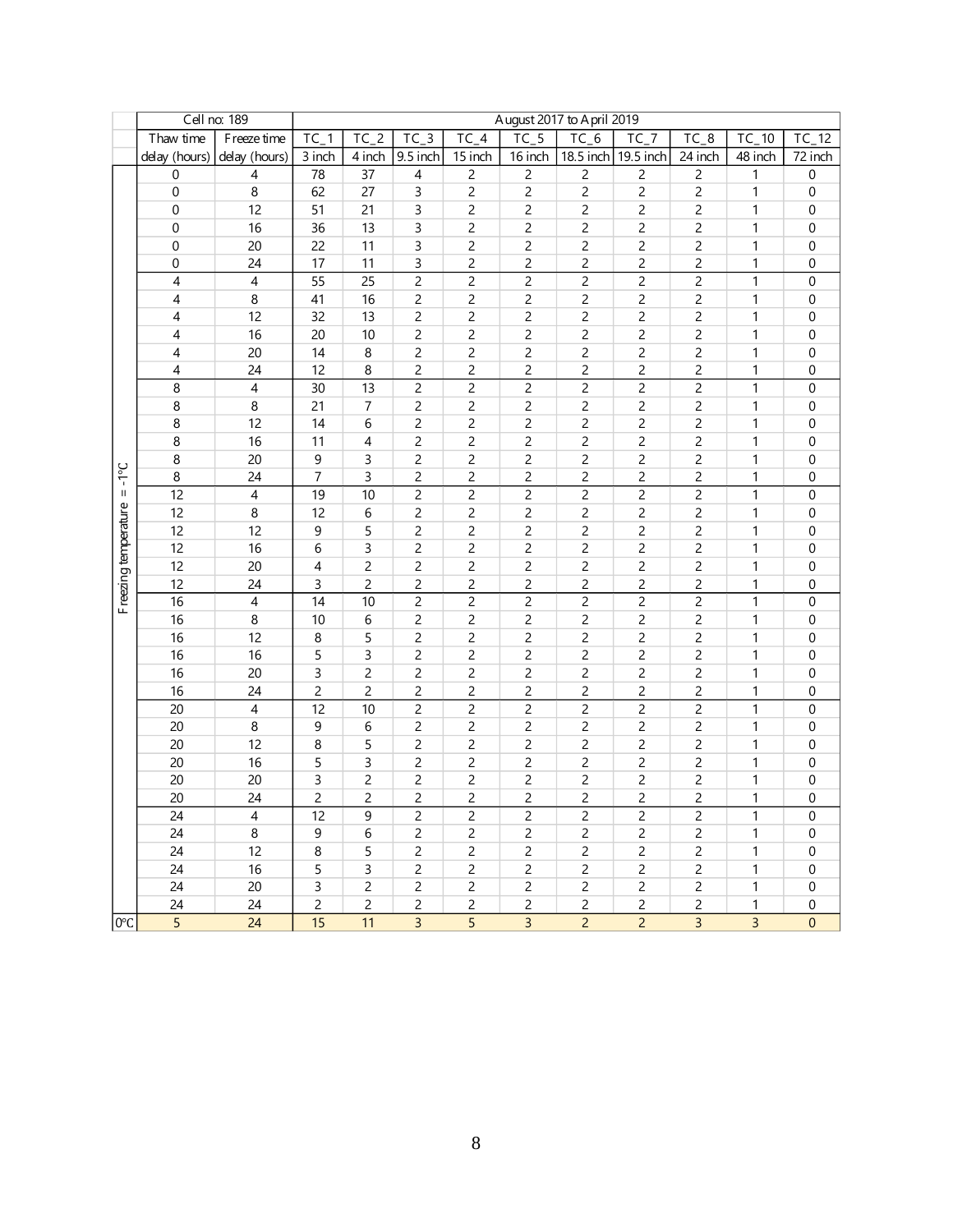|                      |                  | Cell no: 189             |                 |                |                |                              |                | August 2017 to April 2019 |                |                |                |                  |
|----------------------|------------------|--------------------------|-----------------|----------------|----------------|------------------------------|----------------|---------------------------|----------------|----------------|----------------|------------------|
|                      | Thaw time        | F reeze time             | TC <sub>1</sub> | $TC_2$         | $TC_3$         | $\overline{TC}$ <sub>4</sub> | $TC_5$         | $TC_6$                    | $TC_7$         | $TC_8$         | 10<br>TC       | $TC_12$          |
|                      | delay (hours)    | delay (hours)            | 3 inch          | 4 inch         | 9.5 inch       | 15 inch                      | 16 inch        | 18.5 inch                 | 19.5 inch      | 24 inch        | 48 inch        | 72 inch          |
|                      | $\boldsymbol{0}$ | $\overline{\mathcal{A}}$ | 78              | 37             | 4              | 2                            | $\overline{c}$ | $\overline{c}$            | $\overline{c}$ | 2              | 1              | $\boldsymbol{0}$ |
|                      | $\boldsymbol{0}$ | 8                        | 62              | 27             | 3              | $\overline{c}$               | $\mathsf{2}\,$ | $\overline{c}$            | $\overline{c}$ | $\overline{c}$ | 1              | $\boldsymbol{0}$ |
|                      | $\mathbf 0$      | 12                       | 51              | 21             | 3              | 2                            | $\overline{c}$ | $\overline{c}$            | 2              | 2              | $\mathbf{1}$   | 0                |
|                      | 0                | 16                       | 36              | 13             | 3              | 2                            | $\overline{c}$ | $\overline{c}$            | 2              | $\overline{c}$ | 1              | 0                |
|                      | 0                | 20                       | 22              | 11             | 3              | 2                            | 2              | 2                         | 2              | 2              | 1              | 0                |
|                      | 0                | 24                       | 17              | 11             | 3              | 2                            | 2              | $\overline{c}$            | $\overline{c}$ | $\overline{c}$ | 1              | $\mathbf 0$      |
|                      | 4                | $\pmb{4}$                | 55              | 25             | 2              | 2                            | $\overline{c}$ |                           | $\overline{c}$ | $\overline{c}$ | 1              | 0                |
|                      | 4                | 8                        | 41              | 16             | 2              | 2                            | $\overline{c}$ | $\overline{c}$            | $\overline{c}$ | $\overline{c}$ | 1              | 0                |
|                      | 4                | 12                       | 32              | 13             | 2              | 2                            | $\overline{c}$ | 2                         | $\overline{c}$ | $\overline{c}$ | 1              | 0                |
|                      | 4                | 16                       | 20              | 10             | $\overline{c}$ | $\overline{c}$               | $\overline{c}$ | $\overline{c}$            | $\overline{c}$ | $\overline{c}$ | $\mathbf 1$    | 0                |
|                      | 4                | 20                       | 14              | 8              | $\overline{c}$ | $\overline{c}$               | $\overline{c}$ | $\overline{c}$            | $\overline{c}$ | $\overline{c}$ | $\mathbf{1}$   | 0                |
|                      | 4                | 24                       | 12              | 8              | 2              | $\overline{c}$               | $\overline{c}$ | $\overline{c}$            | $\overline{c}$ | $\overline{c}$ | 1              | 0                |
|                      | $\bf 8$          | $\overline{4}$           | 30              | 13             | $\overline{c}$ | $\overline{c}$               | $\overline{c}$ | $\mathsf{2}\,$            | $\overline{c}$ | $\overline{c}$ | $\mathbf 1$    | $\boldsymbol{0}$ |
|                      | 8                | 8                        | 21              | $\overline{7}$ | 2              | 2                            | $\overline{c}$ | $\overline{c}$            | 2              | 2              | 1              | 0                |
|                      | 8                | 12                       | 14              | 6              | 2              | 2                            | $\overline{c}$ | 2                         | 2              | 2              | 1              | 0                |
|                      | 8                | 16                       | 11              | 4              | 2              | 2                            | 2              | 2                         | 2              | 2              | 1              | 0                |
|                      | 8                | 20                       | 9               | 3              | 2              | 2                            | 2              | $\overline{c}$            | $\overline{c}$ | $\overline{c}$ | 1              | 0                |
| $3^{\circ}$          | $\bf 8$          | 24                       | $\overline{7}$  | $\mathsf 3$    | $\overline{c}$ | 2                            | $\overline{c}$ | $\overline{c}$            | $\overline{c}$ | $\overline{c}$ | 1              | $\boldsymbol{0}$ |
| $\rm H$              | 12               | $\overline{4}$           | 19              | 10             | $\overline{c}$ | 2                            | $\overline{c}$ | $\overline{c}$            | $\overline{c}$ | $\overline{c}$ | $\mathbf{1}$   | $\boldsymbol{0}$ |
|                      | 12               | $\bf 8$                  | 12              | 6              | 2              | $\overline{c}$               | $\overline{c}$ | 2                         | $\overline{c}$ | $\overline{c}$ | 1              | $\boldsymbol{0}$ |
|                      | 12               | 12                       | 9               | 5              | $\overline{c}$ | $\overline{c}$               | $\overline{c}$ | $\overline{c}$            | $\overline{c}$ | $\overline{c}$ | $\mathbf{1}$   | 0                |
|                      | 12               | 16                       | 6               | 3              | $\overline{c}$ | $\overline{c}$               | $\overline{c}$ | $\overline{c}$            | $\overline{c}$ | $\overline{c}$ | $\mathbf{1}$   | 0                |
|                      | 12               | 20                       | 4               | $\overline{c}$ | $\overline{c}$ | $\overline{c}$               | $\overline{c}$ | $\overline{c}$            | $\overline{c}$ | $\overline{c}$ | 1              | 0                |
|                      | 12               | 24                       | 3               | $\overline{c}$ | 2              | $\overline{c}$               | 2              | $\overline{c}$            | $\overline{c}$ | $\overline{c}$ | 1              | $\boldsymbol{0}$ |
| Freezing temperature | 16               | $\overline{\mathcal{A}}$ | 14              | 10             | 2              | $\overline{c}$               | $\overline{c}$ | $\overline{c}$            | $\overline{c}$ | $\overline{c}$ | $\mathbf{1}$   | $\boldsymbol{0}$ |
|                      | 16               | 8                        | 10              | 6              | 2              | 2                            | $\overline{c}$ | 2                         | 2              | 2              | 1              | 0                |
|                      | 16               | 12                       | 8               | 5              | 2              | 2                            | 2              | $\overline{c}$            | $\overline{c}$ | $\overline{c}$ | 1              | 0                |
|                      | 16               | 16                       | 5               | 3              | $\overline{c}$ | 2                            | 2              |                           | $\overline{c}$ | $\overline{c}$ | 1              | 0                |
|                      | 16               | 20                       | 3               | $\overline{c}$ | 2              | 2                            | 2              | $\overline{c}$            | $\overline{c}$ | 2              | 1              | 0                |
|                      | 16               | 24                       | $\overline{c}$  | $\overline{c}$ | $\overline{c}$ | 2                            | $\overline{c}$ | $\overline{c}$            | $\overline{c}$ | $\overline{c}$ | 1              | $\boldsymbol{0}$ |
|                      | 20               | $\overline{4}$           | 12              | 10             | $\overline{c}$ | $\overline{c}$               | $\overline{c}$ | $\overline{c}$            | $\overline{c}$ | $\overline{c}$ | $\mathbf{1}$   | $\boldsymbol{0}$ |
|                      | 20               | 8                        | 9               | 6              | $\overline{c}$ | $\overline{c}$               | 2              | $\overline{c}$            | $\overline{c}$ | $\overline{c}$ | $\mathbf{1}$   | 0                |
|                      | 20               | 12                       | 8               | 5              | 2              | $\overline{c}$               | $\overline{c}$ | $\overline{c}$            | $\overline{c}$ | $\overline{c}$ | $\mathbf{1}$   | 0                |
|                      | 20               | 16                       | 5               | 3              | 2              | 2                            | $\overline{c}$ | $\overline{c}$            | $\overline{c}$ | $\overline{c}$ | 1              | 0                |
|                      | 20               | 20                       | 3               | 2              | 2              | $\overline{c}$               | $\overline{c}$ | 2                         | 2              | 2              | 1              | 0                |
|                      | 20               | 24                       | 2               | 2              | 2              | 2                            | $\overline{c}$ | 2                         | 2              | $\overline{c}$ | 1              | $\boldsymbol{0}$ |
|                      | 24               | $\overline{4}$           | 12              | 9              | 2              | 2                            | $\overline{c}$ | 2                         | 2              | 2              |                | 0                |
|                      | 24               | 8                        | 9               | 6              | 2              | 2                            | $\overline{c}$ | 2                         | 2              | 2              | 1              | 0                |
|                      | 24               | 12                       | 8               | 5              | 2              | $\overline{c}$               | $\overline{c}$ | 2                         | 2              | 2              | 1              | 0                |
|                      | 24               | 16                       | 5               | 3              | 2              | $\overline{c}$               | $\overline{c}$ | $\overline{c}$            | 2              | 2              | 1              | 0                |
|                      | 24               | $20\,$                   | 3               | 2              | 2              | $\overline{c}$               | $\overline{c}$ | $\overline{c}$            | 2              | $\overline{c}$ | 1              | $\boldsymbol{0}$ |
|                      | 24               | 24                       | $\overline{2}$  | 2              | 2              | $\overline{c}$               | $\overline{c}$ | 2                         | 2              | $\overline{c}$ | 1              | 0                |
| $0^{\circ}$          | $\overline{5}$   | 24                       | 15              | 11             | $\overline{3}$ | $\overline{5}$               | $\overline{3}$ | $\overline{2}$            | $\overline{2}$ | $\overline{3}$ | $\overline{3}$ | $\pmb{0}$        |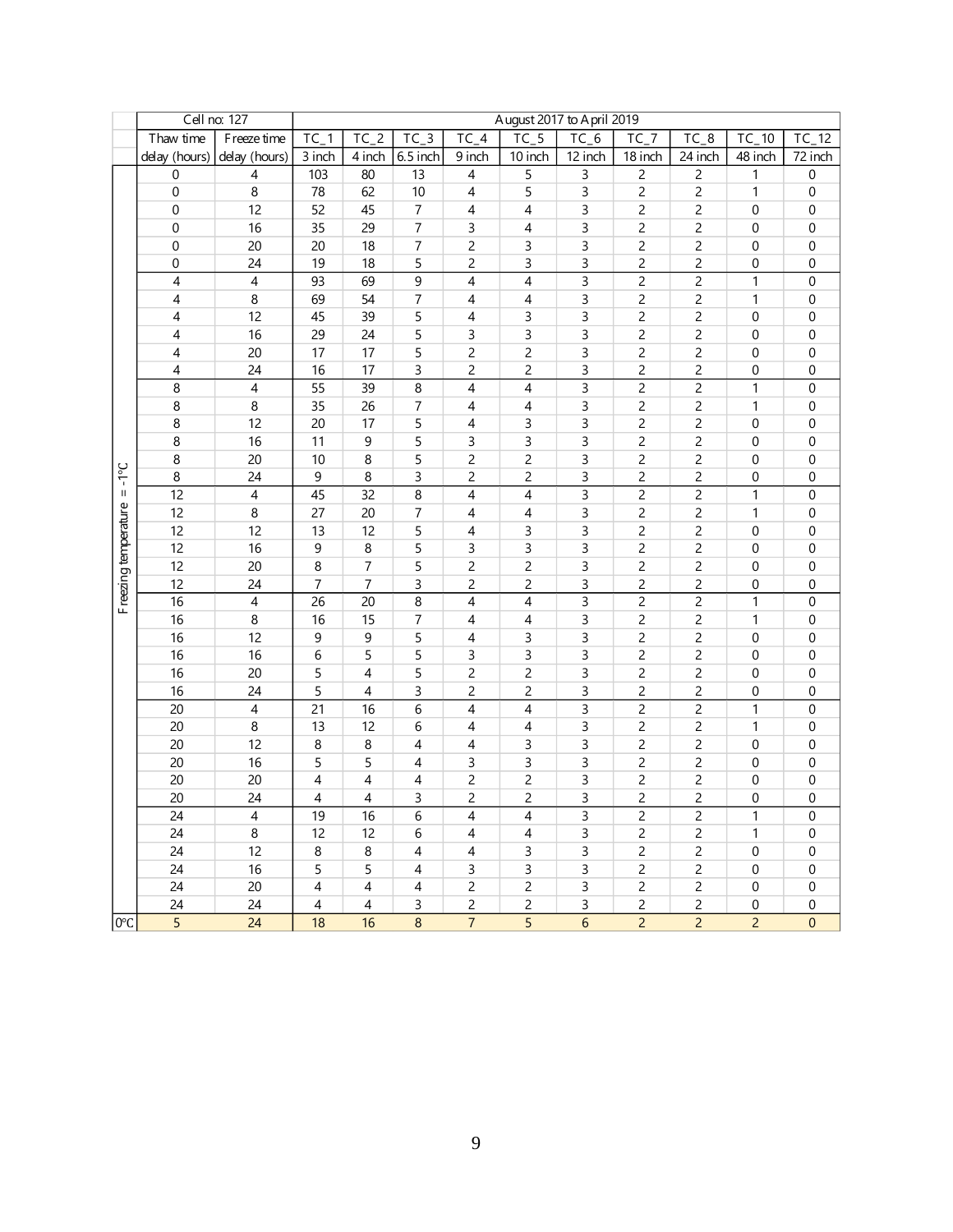|                      |                | Cell no: 127   |                          |                |                |                              | August 2017 to April 2019 |                |                |                         |                  |                  |
|----------------------|----------------|----------------|--------------------------|----------------|----------------|------------------------------|---------------------------|----------------|----------------|-------------------------|------------------|------------------|
|                      | Thaw time      | F reeze time   | $TC_1$                   | $TC_2$         | $TC_3$         | $\overline{TC}$ <sub>4</sub> | $TC_5$                    | $TC_6$         | $TC_7$         | $TC_8$                  | $TC_10$          | 12<br>TC         |
|                      | delay (hours)  | delay (hours)  | 3 inch                   | 4 inch         | 6.5 inch       | 9 inch                       | 10 inch                   | 12 inch        | 18 inch        | 24 inch                 | 48 inch          | 72 inch          |
|                      | 0              | 4              | 103                      | 80             | 13             | 4                            | 5                         | 3              | 2              | $\overline{c}$          | 1                | $\boldsymbol{0}$ |
|                      | 0              | 8              | 78                       | 62             | 10             | 4                            | 5                         | 3              | $\overline{c}$ | $\overline{c}$          | $\mathbf{1}$     | $\boldsymbol{0}$ |
|                      | 0              | 12             | 52                       | 45             | $\overline{7}$ | 4                            | $\overline{4}$            | 3              | 2              | 2                       | 0                | 0                |
|                      | 0              | 16             | 35                       | 29             | $\overline{7}$ | 3                            | $\overline{4}$            | 3              | 2              | $\overline{c}$          | 0                | 0                |
|                      | 0              | 20             | 20                       | 18             | 7              | 2                            | 3                         | 3              | 2              | $\overline{\mathbf{c}}$ | 0                | 0                |
|                      | 0              | 24             | 19                       | 18             | 5              | 2                            | 3                         | 3              | 2              | $\overline{\mathbf{c}}$ | 0                | 0                |
|                      | 4              | $\overline{4}$ | 93                       | 69             | 9              | 4                            | 4                         | 3              | $\overline{c}$ | $\overline{c}$          | $\mathbf{1}$     | 0                |
|                      | 4              | 8              | 69                       | 54             | $\overline{7}$ | 4                            | $\overline{4}$            | 3              | $\overline{c}$ | $\overline{\mathbf{c}}$ | 1                | 0                |
|                      | 4              | 12             | 45                       | 39             | 5              | 4                            | 3                         | 3              | $\overline{c}$ | $\overline{c}$          | 0                | 0                |
|                      | 4              | 16             | 29                       | 24             | 5              | 3                            | 3                         | 3              | $\overline{c}$ | $\overline{c}$          | 0                | 0                |
|                      | 4              | 20             | 17                       | 17             | 5              | $\overline{c}$               | $\overline{c}$            | 3              | $\overline{c}$ | $\overline{c}$          | 0                | 0                |
|                      | 4              | 24             | 16                       | 17             | 3              | 2                            | $\overline{c}$            | 3              | $\overline{c}$ | $\overline{\mathbf{c}}$ | 0                | 0                |
|                      | 8              | $\overline{4}$ | 55                       | 39             | 8              | $\overline{4}$               | $\overline{4}$            | 3              | $\overline{c}$ | $\overline{c}$          | $\mathbf{1}$     | $\boldsymbol{0}$ |
|                      | 8              | 8              | 35                       | 26             | 7              | 4                            | 4                         | 3              | 2              | 2                       | 1                | 0                |
|                      | 8              | 12             | 20                       | 17             | 5              | 4                            | 3                         | 3              | 2              | 2                       | 0                | 0                |
|                      | 8              | 16             | 11                       | 9              | 5              | 3                            | 3                         | 3              | 2              | $\overline{c}$          | 0                | 0                |
|                      | 8              | 20             | 10                       | 8              | 5              | 2                            | 2                         | 3              | $\overline{c}$ | $\overline{c}$          | 0                | 0                |
| $3 - 1 = 3$          | 8              | 24             | 9                        | $\, 8$         | 3              | 2                            | $\overline{c}$            | 3              | $\overline{c}$ | $\overline{c}$          | $\boldsymbol{0}$ | $\boldsymbol{0}$ |
|                      | 12             | 4              | 45                       | 32             | 8              | 4                            | 4                         | 3              | $\overline{c}$ | $\overline{c}$          | $\mathbf{1}$     | $\boldsymbol{0}$ |
|                      | 12             | $\bf8$         | 27                       | 20             | $\overline{7}$ | 4                            | 4                         | 3              | $\overline{c}$ | $\overline{c}$          | $\mathbf{1}$     | $\boldsymbol{0}$ |
|                      | 12             | 12             | 13                       | 12             | 5              | 4                            | 3                         | 3              | $\overline{c}$ | $\overline{c}$          | $\boldsymbol{0}$ | 0                |
|                      | 12             | 16             | 9                        | $\, 8$         | 5              | 3                            | 3                         | 3              | $\overline{c}$ | $\overline{c}$          | 0                | 0                |
|                      | 12             | 20             | 8                        | $\overline{7}$ | 5              | $\overline{c}$               | $\overline{c}$            | 3              | $\overline{c}$ | $\overline{c}$          | $\boldsymbol{0}$ | 0                |
|                      | 12             | 24             | 7                        | 7              | 3              | 2                            | $\overline{c}$            | 3              | $\overline{c}$ | $\overline{c}$          | $\boldsymbol{0}$ | $\boldsymbol{0}$ |
| Freezing temperature | 16             | 4              | 26                       | 20             | 8              | 4                            | 4                         | 3              | $\overline{c}$ | $\overline{c}$          | $\mathbf{1}$     | $\boldsymbol{0}$ |
|                      | 16             | 8              | 16                       | 15             | 7              | 4                            | $\overline{4}$            | 3              | 2              | $\overline{c}$          | 1                | 0                |
|                      | 16             | 12             | 9                        | 9              | 5              | 4                            | 3                         | 3              | 2              | $\overline{c}$          | 0                | 0                |
|                      | 16             | 16             | 6                        | 5              | 5              | 3                            | 3                         | 3              | $\overline{c}$ | $\overline{c}$          | 0                | 0                |
|                      | 16             | 20             | 5                        | 4              | 5              | $\overline{c}$               | $\overline{c}$            | 3              | $\overline{c}$ | $\overline{c}$          | 0                | 0                |
|                      | 16             | 24             | 5                        | 4              | 3              | 2                            | 2                         | 3              | $\overline{c}$ | $\overline{\mathbf{c}}$ | 0                | 0                |
|                      | 20             | 4              | 21                       | 16             | 6              | 4                            | 4                         | $\overline{3}$ | $\overline{c}$ | $\overline{c}$          | $\mathbf{1}$     | $\boldsymbol{0}$ |
|                      | 20             | 8              | 13                       | 12             | 6              | 4                            | 4                         | 3              | $\overline{c}$ | $\overline{c}$          | $\mathbf{1}$     | 0                |
|                      | 20             | 12             | 8                        | 8              | 4              | 4                            | 3                         | 3              | $\overline{c}$ | $\overline{c}$          | 0                | 0                |
|                      | 20             | 16             | 5                        | 5              | 4              | 3                            | 3                         | 3              | $\overline{c}$ | $\overline{c}$          | 0                | $\boldsymbol{0}$ |
|                      | 20             | 20             | 4                        | 4              | 4              | 2                            | 2                         | 3              | 2              | $\overline{c}$          | 0                | $\pmb{0}$        |
|                      | 20             | 24             | 4                        | 4              | 3              | 2                            | $\overline{c}$            | 3              | 2              | $\overline{c}$          | $\boldsymbol{0}$ | 0                |
|                      | 24             | 4              | 19                       | 16             | 6              | 4                            | 4                         | 3              | 2              | 2                       | 1                | 0                |
|                      | 24             | 8              | 12                       | 12             | 6              | 4                            | 4                         | $\mathsf{3}$   | 2              | $\overline{c}$          | 1                | 0                |
|                      | 24             | 12             | 8                        | 8              | 4              | 4                            | 3                         | $\mathsf{3}$   | 2              | $\sqrt{2}$              | $\boldsymbol{0}$ | 0                |
|                      | 24             | 16             | 5                        | 5              | 4              | 3                            | $\mathsf{3}$              | $\mathsf{3}$   | 2              | $\overline{c}$          | $\boldsymbol{0}$ | 0                |
|                      | 24             | 20             | $\overline{4}$           | $\overline{4}$ | $\overline{4}$ | $\overline{2}$               | $\overline{c}$            | 3              | 2              | $\sqrt{2}$              | 0                | 0                |
|                      | 24             | 24             | $\overline{\mathcal{A}}$ | $\sqrt{4}$     | 3              | $\overline{c}$               | $\overline{c}$            | 3              | $\overline{c}$ | $\overline{c}$          | $\boldsymbol{0}$ | 0                |
| 0°C                  | $\overline{5}$ | 24             | 18                       | 16             | $\bf 8$        | $\overline{7}$               | $\overline{5}$            | $6\phantom{a}$ | $\overline{2}$ | $\overline{2}$          | $\overline{2}$   | $\pmb{0}$        |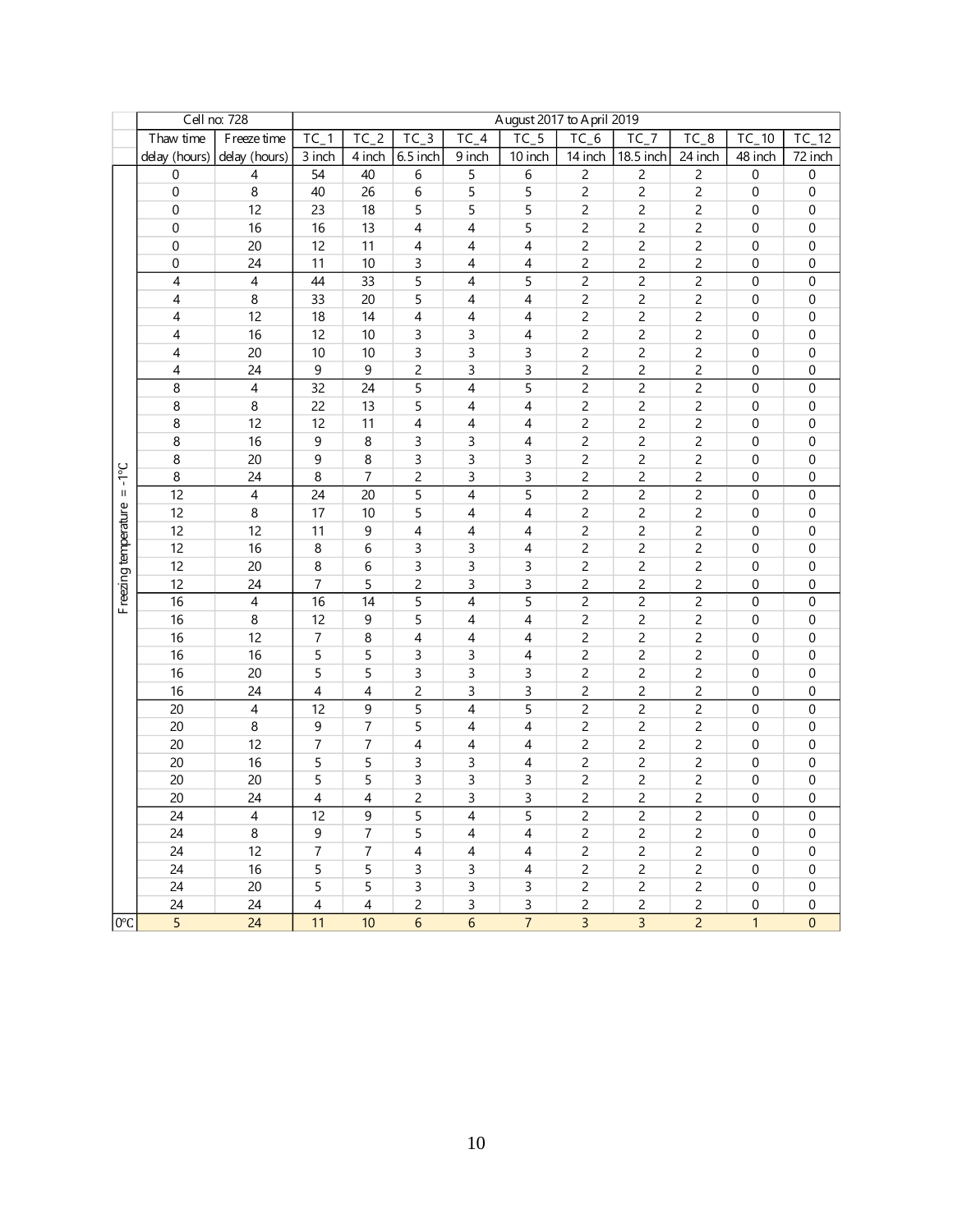|                      |                  | Cell no: 728             |                  |                  |                |                              | August 2017 to April 2019 |                |                |                |                  |                  |
|----------------------|------------------|--------------------------|------------------|------------------|----------------|------------------------------|---------------------------|----------------|----------------|----------------|------------------|------------------|
|                      | Thaw time        | F reeze time             | $TC_1$           | $TC_2$           | $TC_3$         | $\overline{TC}$ <sub>4</sub> | $TC_5$                    | $TC_6$         | $TC_7$         | $TC_8$         | TC<br>$-10$      | $TC_12$          |
|                      | delay (hours)    | delay (hours)            | 3 inch           | 4 inch           | 6.5 inch       | 9 inch                       | 10 inch                   | 14 inch        | 18.5 inch      | 24 inch        | 48 inch          | 72 inch          |
|                      | $\boldsymbol{0}$ | $\overline{4}$           | 54               | 40               | 6              | 5                            | 6                         | $\overline{c}$ | $\overline{c}$ | $\overline{c}$ | $\boldsymbol{0}$ | $\boldsymbol{0}$ |
|                      | $\boldsymbol{0}$ | 8                        | 40               | 26               | 6              | 5                            | 5                         | $\overline{c}$ | $\overline{c}$ | $\overline{c}$ | $\boldsymbol{0}$ | $\boldsymbol{0}$ |
|                      | $\mathbf 0$      | 12                       | 23               | 18               | 5              | 5                            | 5                         | $\overline{c}$ | $\overline{c}$ | $\overline{c}$ | $\boldsymbol{0}$ | $\boldsymbol{0}$ |
|                      | 0                | 16                       | 16               | 13               | 4              | 4                            | 5                         | $\overline{c}$ | 2              | $\overline{c}$ | $\boldsymbol{0}$ | $\boldsymbol{0}$ |
|                      | 0                | 20                       | 12               | 11               | 4              | 4                            | 4                         | $\overline{c}$ | $\overline{c}$ | 2              | 0                | 0                |
|                      | 0                | 24                       | 11               | 10               | 3              | 4                            | 4                         |                | $\overline{c}$ | $\overline{c}$ | 0                | 0                |
|                      | 4                | $\overline{\mathcal{A}}$ | 44               | 33               | 5              | 4                            | 5                         | $\overline{c}$ | $\overline{c}$ | $\overline{c}$ | $\boldsymbol{0}$ | $\boldsymbol{0}$ |
|                      | 4                | 8                        | 33               | 20               | 5              | 4                            | $\overline{4}$            | $\overline{c}$ | $\overline{c}$ | $\overline{c}$ | $\pmb{0}$        | $\boldsymbol{0}$ |
|                      | 4                | 12                       | 18               | 14               | 4              | 4                            | 4                         | 2              | $\overline{c}$ | $\overline{c}$ | 0                | $\boldsymbol{0}$ |
|                      | 4                | 16                       | 12               | 10               | 3              | 3                            | 4                         | $\overline{c}$ | $\overline{c}$ | $\overline{c}$ | 0                | 0                |
|                      | 4                | 20                       | 10               | 10               | 3              | 3                            | 3                         | $\overline{c}$ | $\overline{c}$ | $\overline{c}$ | 0                | 0                |
|                      | 4                | 24                       | $\boldsymbol{9}$ | $\boldsymbol{9}$ | $\overline{c}$ | 3                            | 3                         | $\overline{c}$ | $\overline{c}$ | $\overline{c}$ | 0                | 0                |
|                      | $\bf 8$          | $\overline{4}$           | 32               | 24               | 5              | $\overline{4}$               | 5                         | $\mathsf{2}\,$ | $\overline{c}$ | $\overline{c}$ | $\boldsymbol{0}$ | $\boldsymbol{0}$ |
|                      | 8                | 8                        | 22               | 13               | 5              | 4                            | 4                         | $\overline{c}$ | 2              | 2              | $\pmb{0}$        | $\boldsymbol{0}$ |
|                      | 8                | 12                       | 12               | 11               | 4              | 4                            | 4                         | 2              | 2              | 2              | 0                | $\boldsymbol{0}$ |
|                      | 8                | 16                       | 9                | 8                | 3              | 3                            | 4                         | $\overline{c}$ | 2              | 2              | 0                | 0                |
|                      | 8                | 20                       | 9                | 8                | 3              | 3                            | 3                         | $\overline{c}$ | $\overline{c}$ | $\overline{c}$ | 0                | 0                |
| $3^{\circ}$          | $\bf 8$          | 24                       | $\bf 8$          | $\overline{7}$   | $\overline{c}$ | 3                            | 3                         | $\overline{c}$ | $\overline{c}$ | $\overline{c}$ | 0                | $\boldsymbol{0}$ |
| $\rm H$              | 12               | $\overline{4}$           | 24               | 20               | 5              | 4                            | 5                         | $\overline{c}$ | $\overline{c}$ | $\overline{c}$ | 0                | $\boldsymbol{0}$ |
|                      | 12               | $\bf 8$                  | 17               | 10               | 5              | 4                            | 4                         | 2              | $\overline{c}$ | $\overline{c}$ | 0                | $\boldsymbol{0}$ |
|                      | 12               | 12                       | 11               | 9                | 4              | 4                            | 4                         | $\overline{c}$ | $\overline{c}$ | $\overline{c}$ | $\boldsymbol{0}$ | 0                |
|                      | 12               | 16                       | 8                | 6                | 3              | 3                            | 4                         | $\overline{c}$ | $\overline{c}$ | $\overline{c}$ | $\boldsymbol{0}$ | 0                |
|                      | 12               | 20                       | 8                | 6                | 3              | 3                            | 3                         | $\overline{c}$ | $\overline{c}$ | $\overline{c}$ | $\boldsymbol{0}$ | 0                |
|                      | 12               | 24                       | 7                | 5                | 2              | 3                            | 3                         | $\overline{c}$ | $\overline{c}$ | $\overline{c}$ | $\boldsymbol{0}$ | $\boldsymbol{0}$ |
| Freezing temperature | 16               | $\overline{\mathcal{A}}$ | 16               | 14               | 5              | 4                            | 5                         | $\overline{c}$ | $\overline{c}$ | $\overline{c}$ | $\boldsymbol{0}$ | $\boldsymbol{0}$ |
|                      | 16               | 8                        | 12               | 9                | 5              | 4                            | $\overline{4}$            | 2              | 2              | $\overline{c}$ | $\boldsymbol{0}$ | $\boldsymbol{0}$ |
|                      | 16               | 12                       | 7                | 8                | 4              | 4                            | 4                         | $\overline{c}$ | $\overline{c}$ | $\overline{c}$ | 0                | 0                |
|                      | 16               | 16                       | 5                | 5                | 3              | 3                            | 4                         |                | $\overline{c}$ | $\overline{c}$ | 0                | 0                |
|                      | 16               | 20                       | 5                | 5                | 3              | 3                            | 3                         | $\overline{c}$ | $\overline{c}$ | $\overline{c}$ | $\boldsymbol{0}$ | $\boldsymbol{0}$ |
|                      | 16               | 24                       | $\overline{4}$   | 4                | $\overline{c}$ | 3                            | 3                         | 2              | $\overline{c}$ | $\overline{c}$ | 0                | $\boldsymbol{0}$ |
|                      | 20               | $\overline{4}$           | 12               | 9                | 5              | 4                            | 5                         | $\overline{c}$ | $\overline{c}$ | $\overline{c}$ | 0                | $\boldsymbol{0}$ |
|                      | 20               | $\bf8$                   | 9                | 7                | 5              | 4                            | 4                         | $\overline{c}$ | $\overline{c}$ | $\overline{c}$ | $\boldsymbol{0}$ | 0                |
|                      | 20               | 12                       | $\overline{7}$   | 7                | 4              | 4                            | 4                         | $\overline{c}$ | $\overline{c}$ | $\overline{c}$ | 0                | 0                |
|                      | 20               | 16                       | 5                | 5                | 3              | 3                            | 4                         | $\overline{c}$ | $\overline{c}$ | $\overline{c}$ | 0                | 0                |
|                      | 20               | 20                       | 5                | 5                | 3              | 3                            | 3                         | 2              | 2              | $\overline{c}$ | $\boldsymbol{0}$ | $\boldsymbol{0}$ |
|                      | 20               | 24                       | 4                | 4                | $\overline{c}$ | 3                            | 3                         | 2              | 2              | $\overline{c}$ | 0                | $\boldsymbol{0}$ |
|                      | 24               | $\overline{4}$           | 12               | 9                | 5              | 4                            | 5                         | 2              | 2              | 2              | 0                | 0                |
|                      | 24               | 8                        | 9                | 7                | 5              | 4                            | 4                         | 2              | 2              | 2              | 0                | 0                |
|                      | 24               | 12                       | $\overline{7}$   | 7                | 4              | 4                            | 4                         | 2              | 2              | 2              | $\pmb{0}$        | 0                |
|                      | 24               | 16                       | 5                | 5                | 3              | 3                            | 4                         | $\overline{c}$ | 2              | $\overline{c}$ | $\pmb{0}$        | 0                |
|                      | 24               | $20\,$                   | 5                | 5                | 3              | $\mathsf{3}$                 | 3                         | $\overline{c}$ | 2              | $\overline{c}$ | $\pmb{0}$        | $\boldsymbol{0}$ |
|                      | 24               | 24                       | $\overline{4}$   | $\overline{4}$   | 2              | 3                            | 3                         | 2              | 2              | $\overline{c}$ | 0                | 0                |
| $0^{\circ}$          | $\overline{5}$   | 24                       | 11               | 10               | $\overline{6}$ | $\overline{6}$               | $\overline{7}$            | $\overline{3}$ | $\overline{3}$ | $\overline{2}$ | $\mathbf{1}$     | $\pmb{0}$        |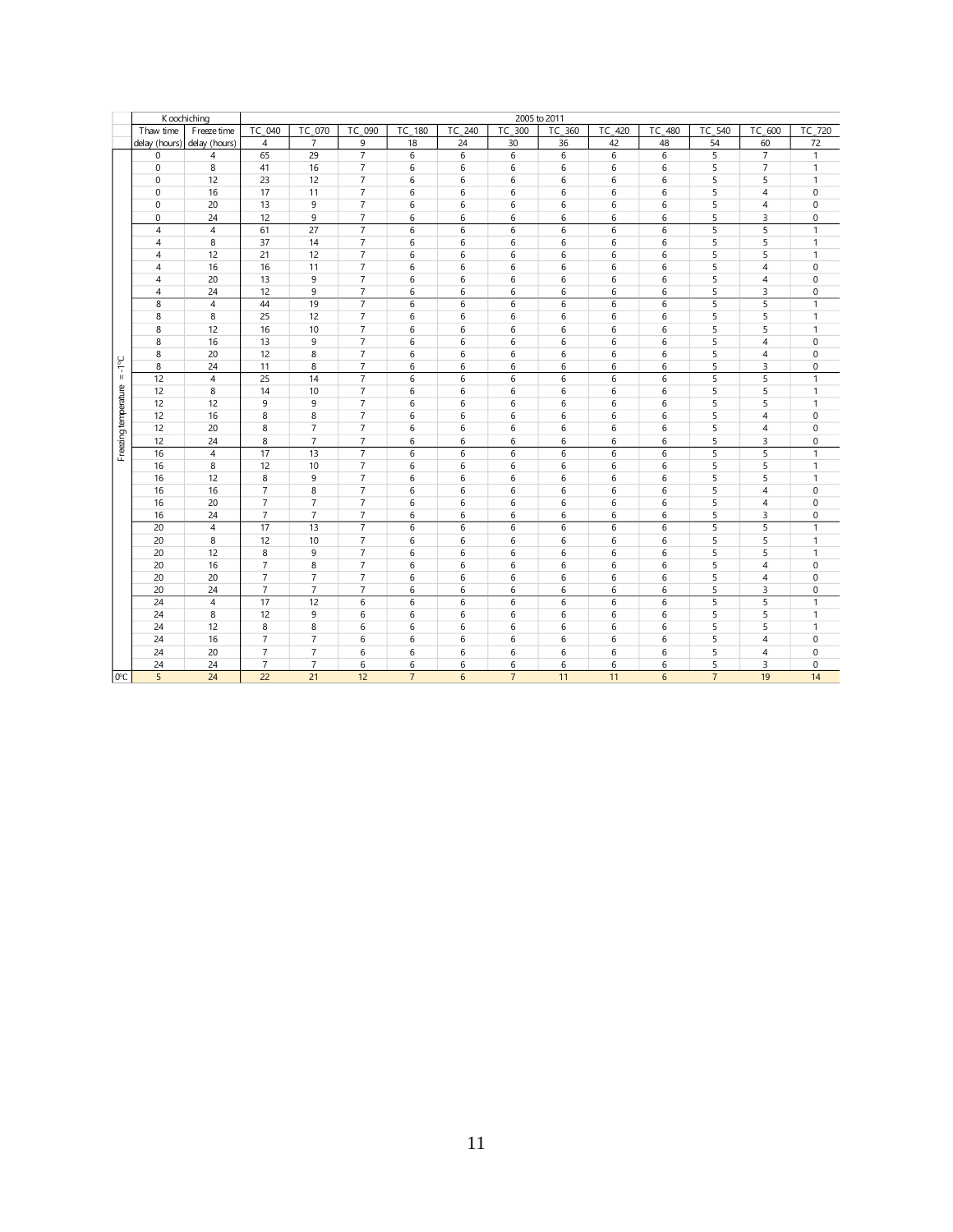|                      |                | K oochiching    |                 |                 |                |                     |                |                | 2005 to 2011 |        |        |                |                     |              |
|----------------------|----------------|-----------------|-----------------|-----------------|----------------|---------------------|----------------|----------------|--------------|--------|--------|----------------|---------------------|--------------|
|                      | Thaw time      | F reeze time    | TC 040          | TC 070          | TC 090         | $\overline{TC}$ 180 | TC 240         | TC 300         | TC 360       | TC 420 | TC 480 | TC 540         | $\overline{TC}$ 600 | TC_720       |
|                      | delay (hours)  | delay (hours)   | $\overline{4}$  | $\overline{7}$  | 9              | 18                  | 24             | 30             | 36           | 42     | 48     | 54             | 60                  | 72           |
|                      | $\mathbf 0$    | 4               | 65              | 29              | $\overline{7}$ | $6\overline{6}$     | $\overline{6}$ | 6              | 6            | 6      | 6      | $\overline{5}$ | $\overline{7}$      | $\mathbf{1}$ |
|                      | $\mathbf 0$    | 8               | 41              | 16              | $\overline{7}$ | 6                   | 6              | 6              | 6            | 6      | 6      | 5              | $\overline{7}$      | 1            |
|                      | 0              | 12              | 23              | 12              | $\overline{7}$ | 6                   | 6              | 6              | 6            | 6      | 6      | 5              | 5                   | $\mathbf{1}$ |
|                      | $\mathbf 0$    | 16              | 17              | 11              | $\overline{7}$ | 6                   | 6              | 6              | 6            | 6      | 6      | 5              | $\sqrt{4}$          | 0            |
|                      | $\mathbf 0$    | 20              | 13              | 9               | $\overline{7}$ | 6                   | 6              | 6              | 6            | 6      | 6      | 5              | $\overline{4}$      | 0            |
|                      | 0              | 24              | 12              | 9               | $\overline{7}$ | 6                   | 6              | 6              | 6            | 6      | 6      | 5              | 3                   | 0            |
|                      | $\overline{4}$ | $\overline{4}$  | 61              | 27              | $\overline{7}$ | $\sqrt{6}$          | 6              | 6              | $\sqrt{6}$   | 6      | 6      | 5              | 5                   | $\mathbf{1}$ |
|                      | 4              | 8               | 37              | 14              | $\overline{7}$ | 6                   | 6              | 6              | 6            | 6      | 6      | 5              | 5                   | 1            |
|                      | 4              | 12              | 21              | 12              | $\overline{7}$ | 6                   | 6              | 6              | 6            | 6      | 6      | 5              | 5                   | $\mathbf{1}$ |
|                      | $\overline{4}$ | 16              | 16              | 11              | $\overline{7}$ | 6                   | 6              | 6              | 6            | 6      | 6      | 5              | $\overline{4}$      | 0            |
|                      | $\overline{4}$ | 20              | 13              | 9               | $\overline{7}$ | 6                   | 6              | 6              | 6            | 6      | 6      | 5              | $\overline{4}$      | 0            |
|                      | $\overline{4}$ | 24              | 12              | 9               | $\overline{7}$ | 6                   | 6              | 6              | 6            | 6      | 6      | 5              | 3                   | 0            |
|                      | 8              | $\overline{4}$  | 44              | 19              | $\overline{7}$ | 6                   | 6              | 6              | 6            | 6      | 6      | 5              | 5                   | $\mathbf{1}$ |
|                      | 8              | 8               | 25              | 12              | $\overline{7}$ | 6                   | 6              | 6              | 6            | 6      | 6      | 5              | 5                   | $\mathbf{1}$ |
|                      | 8              | 12              | 16              | 10              | $\overline{7}$ | 6                   | 6              | 6              | 6            | 6      | 6      | 5              | 5                   | $\mathbf{1}$ |
|                      | 8              | 16              | 13              | 9               | $\overline{7}$ | 6                   | 6              | 6              | 6            | 6      | 6      | 5              | $\overline{4}$      | 0            |
|                      | 8              | 20              | 12              | 8               | $\overline{7}$ | 6                   | 6              | 6              | $\,6\,$      | 6      | 6      | 5              | $\overline{4}$      | $\Omega$     |
| $3 - 1 - 5$          | 8              | 24              | 11              | 8               | $\overline{7}$ | 6                   | 6              | 6              | 6            | 6      | 6      | 5              | 3                   | 0            |
|                      | 12             | $\overline{4}$  | $\overline{25}$ | $\overline{14}$ | $\overline{7}$ | 6                   | 6              | 6              | $\,6\,$      | 6      | 6      | 5              | 5                   | $\mathbf{1}$ |
|                      | 12             | 8               | 14              | 10              | $\overline{7}$ | 6                   | 6              | 6              | 6            | 6      | 6      | 5              | 5                   | $\mathbf{1}$ |
|                      | 12             | 12              | 9               | 9               | $\overline{7}$ | 6                   | 6              | 6              | 6            | 6      | 6      | 5              | 5                   | $\mathbf{1}$ |
|                      | 12             | 16              | 8               | 8               | $\overline{7}$ | 6                   | 6              | 6              | 6            | 6      | 6      | 5              | $\overline{4}$      | 0            |
|                      | 12             | 20              | 8               | $\overline{7}$  | $\overline{7}$ | 6                   | 6              | 6              | 6            | 6      | 6      | 5              | $\sqrt{4}$          | $\mathbf{0}$ |
|                      | 12             | 24              | 8               | $\overline{7}$  | $\overline{7}$ | 6                   | 6              | 6              | 6            | 6      | 6      | 5              | 3                   | 0            |
| Freezing temperature | 16             | $\overline{4}$  | 17              | 13              | $\overline{7}$ | 6                   | 6              | 6              | $\,6\,$      | 6      | 6      | 5              | 5                   | 1            |
|                      | 16             | 8               | 12              | 10              | $\overline{7}$ | 6                   | 6              | 6              | 6            | 6      | 6      | 5              | 5                   | $\mathbf{1}$ |
|                      | 16             | 12              | 8               | 9               | $\overline{7}$ | 6                   | 6              | 6              | 6            | 6      | 6      | 5              | 5                   | $\mathbf{1}$ |
|                      | 16             | 16              | $\overline{7}$  | 8               | $\overline{7}$ | 6                   | 6              | 6              | 6            | 6      | 6      | 5              | $\overline{4}$      | 0            |
|                      | 16             | 20              | $\overline{7}$  | $\overline{7}$  | $\overline{7}$ | 6                   | 6              | 6              | 6            | 6      | 6      | 5              | $\overline{4}$      | $\mathbf 0$  |
|                      | 16             | 24              | $\overline{7}$  | $\overline{7}$  | $\overline{7}$ | 6                   | 6              | 6              | 6            | 6      | 6      | 5              | 3                   | 0            |
|                      | 20             | $\overline{4}$  | 17              | 13              | $\overline{7}$ | 6                   | 6              | 6              | $\,6\,$      | 6      | 6      | 5              | 5                   | $\mathbf{1}$ |
|                      | 20             | 8               | 12              | 10              | $\overline{7}$ | 6                   | 6              | 6              | 6            | 6      | 6      | 5              | 5                   | 1            |
|                      | 20             | 12              | 8               | 9               | $\overline{7}$ | $\sqrt{6}$          | 6              | 6              | $\,6\,$      | 6      | 6      | 5              | 5                   | $\mathbf{1}$ |
|                      | 20             | 16              | $\overline{7}$  | 8               | $\overline{7}$ | 6                   | 6              | 6              | 6            | 6      | 6      | 5              | $\sqrt{4}$          | $\mathbf 0$  |
|                      | 20             | 20              | $\overline{7}$  | $\overline{7}$  | $\overline{7}$ | 6                   | 6              | 6              | 6            | 6      | 6      | 5              | $\overline{4}$      | 0            |
|                      | 20             | 24              | $\overline{7}$  | $\overline{7}$  | $\overline{7}$ | 6                   | 6              | 6              | 6            | 6      | 6      | 5              | 3                   | 0            |
|                      | 24             | $\overline{4}$  | 17              | 12              | 6              | 6                   | 6              | 6              | $\,6\,$      | 6      | 6      | 5              | 5                   | $\mathbf{1}$ |
|                      | 24             | 8               | 12              | 9               | 6              | 6                   | 6              | 6              | 6            | 6      | 6      | 5              | 5                   | 1            |
|                      | 24             | 12              | 8               | 8               | 6              | 6                   | 6              | 6              | 6            | 6      | 6      | 5              | 5                   | $\mathbf{1}$ |
|                      | 24             | 16              | $\overline{7}$  | $\overline{7}$  | 6              | 6                   | 6              | 6              | 6            | 6      | 6      | 5              | $\overline{4}$      | $\mathbf 0$  |
|                      | 24             | 20              | $\overline{7}$  | $\overline{7}$  | 6              | 6                   | 6              | 6              | 6            | 6      | 6      | 5              | $\overline{4}$      | 0            |
|                      | 24             | 24              | $\overline{7}$  | $\overline{7}$  | 6              | 6                   | 6              | 6              | 6            | 6      | 6      | 5              | 3                   | 0            |
| $0^{\circ}$ C        | 5              | $\overline{24}$ | $\overline{22}$ | $\overline{21}$ | 12             | $\overline{7}$      | 6              | $\overline{7}$ | 11           | 11     | 6      | $\overline{7}$ | 19                  | 14           |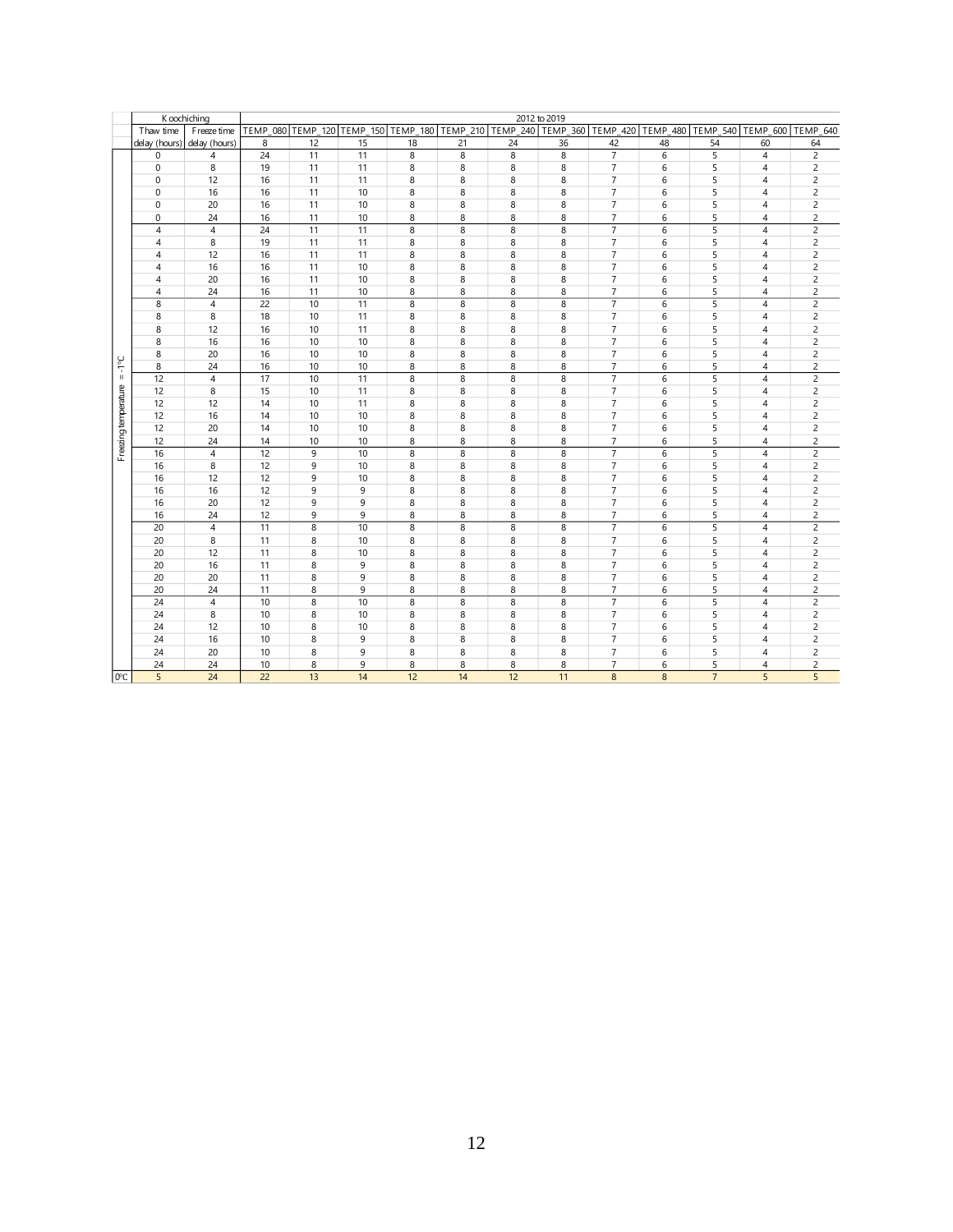|                      | K oochiching   |                |                 |    |    |                |                |    | 2012 to 2019                                                                     |                |                |                 |                   |                |
|----------------------|----------------|----------------|-----------------|----|----|----------------|----------------|----|----------------------------------------------------------------------------------|----------------|----------------|-----------------|-------------------|----------------|
|                      | Thaw time      | Freeze time    |                 |    |    |                |                |    | TEMP_080 TEMP_120 TEMP_150 TEMP_180 TEMP_210 TEMP_240 TEMP_360 TEMP_420 TEMP_480 |                |                | <b>TEMP 540</b> | TEMP 600 TEMP 640 |                |
|                      | delay (hours)  | delay (hours)  | 8               | 12 | 15 | 18             | 21             | 24 | 36                                                                               | 42             | 48             | 54              | 60                | 64             |
|                      | $\mathbf 0$    | 4              | $\overline{24}$ | 11 | 11 | $\overline{8}$ | $\overline{8}$ | 8  | 8                                                                                | $\overline{7}$ | $\overline{6}$ | $\overline{5}$  | $\overline{4}$    | $\overline{2}$ |
|                      | $\mathbf 0$    | 8              | 19              | 11 | 11 | 8              | 8              | 8  | 8                                                                                | 7              | 6              | 5               | $\overline{4}$    | 2              |
|                      | $\mathbf 0$    | 12             | 16              | 11 | 11 | 8              | 8              | 8  | 8                                                                                | $\overline{7}$ | 6              | 5               | $\overline{4}$    | $\overline{c}$ |
|                      | $\mathbf 0$    | 16             | 16              | 11 | 10 | 8              | 8              | 8  | 8                                                                                | $\overline{7}$ | 6              | 5               | $\overline{4}$    | $\overline{c}$ |
|                      | $\mathbf 0$    | 20             | 16              | 11 | 10 | 8              | 8              | 8  | 8                                                                                | $\overline{7}$ | 6              | 5               | $\overline{4}$    | $\overline{c}$ |
|                      | 0              | 24             | 16              | 11 | 10 | 8              | 8              | 8  | 8                                                                                | 7              | 6              | 5               | $\overline{4}$    | $\overline{c}$ |
|                      | $\overline{4}$ | $\sqrt{4}$     | 24              | 11 | 11 | 8              | 8              | 8  | 8                                                                                | $\overline{7}$ | 6              | 5               | $\overline{4}$    | $\overline{c}$ |
|                      | $\overline{4}$ | 8              | 19              | 11 | 11 | 8              | 8              | 8  | 8                                                                                | $\overline{7}$ | 6              | 5               | $\overline{4}$    | 2              |
|                      | $\overline{4}$ | 12             | 16              | 11 | 11 | 8              | 8              | 8  | 8                                                                                | $\overline{7}$ | 6              | 5               | $\overline{4}$    | $\overline{c}$ |
|                      | 4              | 16             | 16              | 11 | 10 | 8              | 8              | 8  | 8                                                                                | $\overline{7}$ | 6              | 5               | $\overline{4}$    | $\overline{c}$ |
|                      | $\overline{4}$ | 20             | 16              | 11 | 10 | 8              | 8              | 8  | 8                                                                                | $\overline{7}$ | 6              | 5               | $\overline{4}$    | $\overline{c}$ |
|                      | $\overline{4}$ | 24             | 16              | 11 | 10 | 8              | 8              | 8  | 8                                                                                | $\overline{7}$ | 6              | 5               | $\overline{4}$    | $\overline{c}$ |
|                      | 8              | $\overline{4}$ | 22              | 10 | 11 | 8              | 8              | 8  | 8                                                                                | $\overline{7}$ | 6              | 5               | $\overline{4}$    | $\overline{c}$ |
|                      | 8              | 8              | 18              | 10 | 11 | 8              | 8              | 8  | 8                                                                                | $\overline{7}$ | 6              | 5               | $\overline{4}$    | $\overline{c}$ |
|                      | 8              | 12             | 16              | 10 | 11 | 8              | 8              | 8  | 8                                                                                | $\overline{7}$ | 6              | 5               | $\overline{4}$    | $\overline{c}$ |
|                      | 8              | 16             | 16              | 10 | 10 | 8              | 8              | 8  | 8                                                                                | $\overline{7}$ | 6              | 5               | $\overline{4}$    | $\overline{c}$ |
|                      | 8              | 20             | 16              | 10 | 10 | 8              | 8              | 8  | 8                                                                                | $\overline{7}$ | 6              | 5               | $\overline{4}$    | $\overline{c}$ |
| $3\circ l - 1$       | 8              | 24             | 16              | 10 | 10 | 8              | 8              | 8  | 8                                                                                | $\overline{7}$ | 6              | 5               | 4                 | $\overline{c}$ |
|                      | 12             | $\overline{4}$ | 17              | 10 | 11 | $\overline{8}$ | 8              | 8  | $\overline{8}$                                                                   | $\overline{7}$ | $\overline{6}$ | $\overline{5}$  | $\overline{4}$    | $\overline{2}$ |
|                      | 12             | 8              | 15              | 10 | 11 | 8              | 8              | 8  | 8                                                                                | $\overline{7}$ | 6              | 5               | $\overline{4}$    | $\overline{c}$ |
|                      | 12             | 12             | 14              | 10 | 11 | 8              | 8              | 8  | 8                                                                                | $\overline{7}$ | 6              | 5               | 4                 | $\overline{c}$ |
|                      | 12             | 16             | 14              | 10 | 10 | 8              | 8              | 8  | 8                                                                                | $\overline{7}$ | 6              | 5               | $\overline{4}$    | $\overline{c}$ |
|                      | 12             | 20             | 14              | 10 | 10 | 8              | 8              | 8  | 8                                                                                | $\overline{7}$ | 6              | 5               | $\overline{4}$    | $\overline{c}$ |
|                      | 12             | 24             | 14              | 10 | 10 | 8              | 8              | 8  | 8                                                                                | $\overline{7}$ | 6              | 5               | 4                 | $\overline{c}$ |
| Freezing temperature | 16             | $\overline{4}$ | 12              | 9  | 10 | 8              | 8              | 8  | 8                                                                                | $\overline{7}$ | 6              | 5               | $\overline{4}$    | $\overline{c}$ |
|                      | 16             | 8              | 12              | 9  | 10 | 8              | 8              | 8  | 8                                                                                | $\overline{7}$ | 6              | 5               | $\overline{4}$    | $\overline{c}$ |
|                      | 16             | 12             | 12              | 9  | 10 | 8              | 8              | 8  | 8                                                                                | $\overline{7}$ | 6              | 5               | $\overline{4}$    | $\overline{c}$ |
|                      | 16             | 16             | 12              | 9  | 9  | 8              | 8              | 8  | 8                                                                                | $\overline{7}$ | 6              | 5               | $\overline{4}$    | $\overline{c}$ |
|                      | 16             | 20             | 12              | 9  | 9  | 8              | 8              | 8  | 8                                                                                | 7              | 6              | 5               | $\overline{4}$    | $\overline{c}$ |
|                      | 16             | 24             | 12              | 9  | 9  | 8              | 8              | 8  | 8                                                                                | $\overline{7}$ | 6              | 5               | $\overline{4}$    | $\overline{c}$ |
|                      | 20             | $\overline{4}$ | 11              | 8  | 10 | 8              | 8              | 8  | 8                                                                                | $\overline{7}$ | 6              | 5               | $\overline{4}$    | $\overline{c}$ |
|                      | 20             | 8              | 11              | 8  | 10 | 8              | 8              | 8  | 8                                                                                | $\overline{7}$ | 6              | 5               | $\overline{4}$    | $\overline{c}$ |
|                      | 20             | 12             | 11              | 8  | 10 | 8              | 8              | 8  | 8                                                                                | $\overline{7}$ | 6              | 5               | $\overline{4}$    | $\overline{c}$ |
|                      | 20             | 16             | 11              | 8  | 9  | 8              | 8              | 8  | 8                                                                                | $\overline{7}$ | 6              | 5               | $\overline{4}$    | $\overline{c}$ |
|                      | 20             | 20             | 11              | 8  | 9  | 8              | 8              | 8  | 8                                                                                | $\overline{7}$ | 6              | 5               | $\sqrt{4}$        | $\overline{c}$ |
|                      | 20             | 24             | 11              | 8  | 9  | 8              | 8              | 8  | 8                                                                                | $\overline{7}$ | 6              | 5               | $\overline{4}$    | $\overline{c}$ |
|                      | 24             | $\sqrt{4}$     | 10              | 8  | 10 | 8              | 8              | 8  | 8                                                                                | $\overline{7}$ | 6              | 5               | $\overline{4}$    | $\overline{c}$ |
|                      | 24             | 8              | 10              | 8  | 10 | 8              | 8              | 8  | 8                                                                                | $\overline{7}$ | 6              | 5               | $\overline{4}$    | $\overline{c}$ |
|                      | 24             | 12             | 10              | 8  | 10 | 8              | 8              | 8  | 8                                                                                | $\overline{7}$ | 6              | 5               | $\overline{4}$    | $\overline{c}$ |
|                      | 24             | 16             | 10              | 8  | 9  | 8              | 8              | 8  | 8                                                                                | $\overline{7}$ | 6              | 5               | $\overline{4}$    | $\overline{2}$ |
|                      | 24             | 20             | 10              | 8  | 9  | 8              | 8              | 8  | 8                                                                                | $\overline{7}$ | 6              | 5               | $\overline{4}$    | $\overline{2}$ |
|                      | 24             | 24             | 10              | 8  | 9  | 8              | 8              | 8  | 8                                                                                | $\overline{7}$ | 6              | 5               | 4                 | $\overline{c}$ |
| $0^{\circ}$ C        | $\overline{5}$ | 24             | 22              | 13 | 14 | 12             | 14             | 12 | 11                                                                               | 8              | 8              | $\overline{7}$  | 5                 | 5              |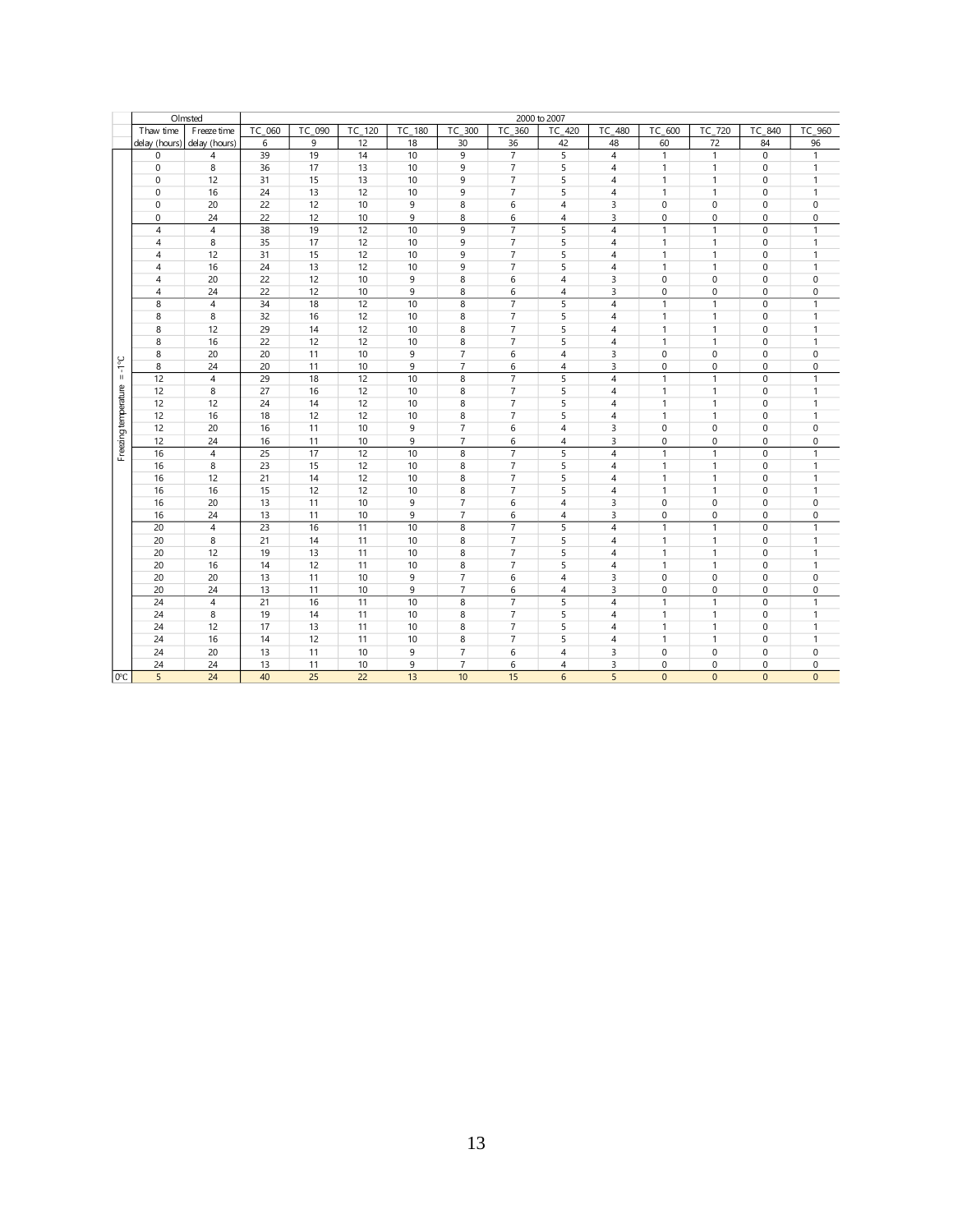|                      |                 | Olmsted        |                 |        |                 |        |                |                | 2000 to 2007   |                |              |                |                  |                  |
|----------------------|-----------------|----------------|-----------------|--------|-----------------|--------|----------------|----------------|----------------|----------------|--------------|----------------|------------------|------------------|
|                      | Thaw time       | F reeze time   | TC 060          | TC 090 | TC 120          | TC 180 | TC 300         | TC 360         | TC 420         | TC 480         | TC 600       | TC 720         | TC 840           | TC<br>960        |
|                      | delay (hours)   | delay (hours)  | 6               | 9      | 12              | 18     | 30             | 36             | 42             | 48             | 60           | 72             | 84               | 96               |
|                      | 0               | $\overline{4}$ | 39              | 19     | 14              | 10     | 9              | $\overline{7}$ | $\overline{5}$ | $\overline{4}$ | $\mathbf{1}$ | $\overline{1}$ | $\boldsymbol{0}$ | 1                |
|                      | $\mathbf 0$     | 8              | 36              | 17     | 13              | 10     | 9              | $\overline{7}$ | 5              | 4              | $\mathbf{1}$ | $\overline{1}$ | $\mathbf 0$      | $\mathbf{1}$     |
|                      | $\mathbf 0$     | 12             | 31              | 15     | 13              | 10     | 9              | $\overline{7}$ | 5              | $\overline{4}$ | $\mathbf{1}$ | $\overline{1}$ | 0                | 1                |
|                      | 0               | 16             | 24              | 13     | 12              | 10     | 9              | $\overline{7}$ | 5              | 4              | $\mathbf{1}$ | $\overline{1}$ | 0                | 1                |
|                      | 0               | 20             | 22              | 12     | 10              | 9      | 8              | 6              | $\overline{4}$ | 3              | $\mathbf 0$  | $\bf 0$        | 0                | $\bf 0$          |
|                      | $\mathbf 0$     | 24             | 22              | 12     | 10              | 9      | 8              | 6              | $\overline{4}$ | 3              | 0            | $\bf 0$        | 0                | $\bf 0$          |
|                      | $\overline{4}$  | $\overline{4}$ | 38              | 19     | 12              | 10     | 9              | $\overline{7}$ | 5              | 4              | $\mathbf{1}$ | $\overline{1}$ | $\mathbf 0$      | $\mathbf{1}$     |
|                      | $\overline{4}$  | 8              | 35              | 17     | 12              | 10     | 9              | $\overline{7}$ | 5              | $\overline{4}$ | $\mathbf{1}$ | $\overline{1}$ | 0                | $\mathbf{1}$     |
|                      | $\overline{4}$  | 12             | 31              | 15     | 12              | 10     | 9              | $\overline{7}$ | 5              | $\overline{4}$ | $\mathbf{1}$ | $\overline{1}$ | $\mathbf 0$      | $\mathbf{1}$     |
|                      | 4               | 16             | 24              | 13     | 12              | 10     | 9              | $\overline{7}$ | 5              | 4              | $\mathbf{1}$ | $\overline{1}$ | $\mathbf 0$      | $\mathbf{1}$     |
|                      | $\overline{4}$  | 20             | 22              | 12     | 10              | 9      | 8              | 6              | $\overline{4}$ | 3              | $\mathbf 0$  | $\mathbf 0$    | 0                | $\bf 0$          |
|                      | 4               | 24             | 22              | 12     | 10              | 9      | 8              | 6              | $\overline{4}$ | 3              | $\mathbf 0$  | $\bf 0$        | 0                | $\mathbf 0$      |
|                      | 8               | $\overline{4}$ | 34              | 18     | 12              | 10     | 8              | $\overline{7}$ | 5              | $\overline{4}$ | $\mathbf{1}$ | $\overline{1}$ | $\mathbf 0$      | $\mathbf{1}$     |
|                      | 8               | 8              | 32              | 16     | 12              | 10     | 8              | $\overline{7}$ | 5              | $\overline{4}$ | $\mathbf{1}$ | $\overline{1}$ | 0                | 1                |
|                      | 8               | 12             | 29              | 14     | 12              | 10     | 8              | $\overline{7}$ | 5              | $\overline{4}$ | $\mathbf{1}$ | $\overline{1}$ | 0                | 1                |
|                      | 8               | 16             | 22              | 12     | 12              | 10     | 8              | $\overline{7}$ | 5              | $\overline{4}$ | $\mathbf{1}$ | $\overline{1}$ | 0                | 1                |
|                      | 8               | 20             | 20              | 11     | 10              | 9      | $\overline{7}$ | 6              | $\overline{4}$ | 3              | $\mathbf 0$  | $\mathbf{0}$   | $\mathbf 0$      | $\bf 0$          |
| $3 \circ l - 1$      | 8               | 24             | 20              | 11     | 10              | 9      | $\overline{7}$ | 6              | $\overline{4}$ | 3              | $\mathbf 0$  | $\mathbf 0$    | 0                | $\mathbf 0$      |
|                      | 12              | $\overline{4}$ | $\overline{29}$ | 18     | 12              | 10     | 8              | $\overline{7}$ | 5              | $\overline{4}$ | $\mathbf{1}$ | $\overline{1}$ | 0                | $\mathbf{1}$     |
|                      | 12              | 8              | 27              | 16     | 12              | 10     | 8              | $\overline{7}$ | 5              | $\overline{4}$ | $\mathbf{1}$ | $\overline{1}$ | 0                | 1                |
|                      | 12              | 12             | 24              | 14     | 12              | 10     | 8              | $\overline{7}$ | 5              | $\overline{4}$ | $\mathbf{1}$ | $\overline{1}$ | $\mathbf 0$      | $\mathbf{1}$     |
|                      | 12              | 16             | 18              | 12     | 12              | 10     | 8              | $\overline{7}$ | 5              | 4              | $\mathbf{1}$ | $\overline{1}$ | 0                | 1                |
|                      | 12              | 20             | 16              | 11     | 10              | 9      | $\overline{7}$ | 6              | $\overline{4}$ | 3              | $\mathbf 0$  | $\mathbf{0}$   | 0                | $\mathbf 0$      |
|                      | 12              | 24             | 16              | 11     | 10              | 9      | $\overline{7}$ | 6              | $\overline{4}$ | 3              | 0            | $\mathbf 0$    | 0                | $\boldsymbol{0}$ |
| Freezing temperature | 16              | $\sqrt{4}$     | 25              | 17     | 12              | 10     | 8              | $\overline{7}$ | 5              | $\overline{4}$ | $\mathbf{1}$ | $\overline{1}$ | $\mathbf 0$      | $\mathbf{1}$     |
|                      | 16              | 8              | 23              | 15     | 12              | 10     | 8              | $\overline{7}$ | 5              | $\overline{4}$ | $\mathbf{1}$ | $\overline{1}$ | $\mathbf 0$      | $\mathbf{1}$     |
|                      | 16              | 12             | 21              | 14     | 12              | 10     | 8              | $\overline{7}$ | 5              | $\overline{4}$ | $\mathbf{1}$ | $\overline{1}$ | $\Omega$         | 1                |
|                      | 16              | 16             | 15              | 12     | 12              | 10     | 8              | $\overline{7}$ | 5              | $\overline{4}$ | $\mathbf{1}$ | $\overline{1}$ | $\mathbf 0$      | $\mathbf{1}$     |
|                      | 16              | 20             | 13              | 11     | 10              | 9      | $\overline{7}$ | 6              | $\overline{4}$ | 3              | 0            | $\mathbf 0$    | 0                | $\bf 0$          |
|                      | 16              | 24             | 13              | 11     | 10              | 9      | 7              | 6              | 4              | 3              | 0            | $\mathbf 0$    | 0                | 0                |
|                      | $\overline{20}$ | $\sqrt{4}$     | $\overline{23}$ | 16     | $\overline{11}$ | 10     | 8              | $\overline{7}$ | 5              | 4              | $\mathbf{1}$ | $\overline{1}$ | 0                | $\mathbf{1}$     |
|                      | 20              | 8              | 21              | 14     | 11              | 10     | 8              | $\overline{7}$ | 5              | $\overline{4}$ | $\mathbf{1}$ | $\overline{1}$ | 0                | $\mathbf{1}$     |
|                      | 20              | 12             | 19              | 13     | 11              | 10     | 8              | $\overline{7}$ | 5              | $\overline{4}$ | $\mathbf{1}$ | $\overline{1}$ | $\mathbf 0$      | $\mathbf{1}$     |
|                      | 20              | 16             | 14              | 12     | 11              | 10     | 8              | $\overline{7}$ | 5              | $\overline{4}$ | $\mathbf{1}$ | $\mathbf{1}$   | 0                | $\mathbf{1}$     |
|                      | 20              | 20             | 13              | 11     | 10              | 9      | $\overline{7}$ | 6              | 4              | 3              | $\bf 0$      | $\mathbf 0$    | 0                | $\bf 0$          |
|                      | 20              | 24             | 13              | 11     | 10              | 9      | $\overline{7}$ | 6              | 4              | 3              | 0            | $\mathbf 0$    | 0                | $\bf 0$          |
|                      | 24              | $\overline{4}$ | 21              | 16     | 11              | 10     | 8              | $\overline{7}$ | 5              | $\overline{4}$ | $\mathbf{1}$ | $\overline{1}$ | 0                | $\mathbf{1}$     |
|                      | 24              | 8              | 19              | 14     | 11              | 10     | 8              | $\overline{7}$ | 5              | $\overline{4}$ | $\mathbf{1}$ | $\overline{1}$ | 0                | 1                |
|                      | 24              | 12             | 17              | 13     | 11              | 10     | 8              | $\overline{7}$ | 5              | $\overline{4}$ | $\mathbf{1}$ | $\mathbf{1}$   | 0                | $\mathbf{1}$     |
|                      | 24              | 16             | 14              | 12     | 11              | 10     | 8              | $\overline{7}$ | 5              | $\overline{4}$ | $\mathbf{1}$ | $\overline{1}$ | 0                | 1                |
|                      | 24              | 20             | 13              | 11     | 10              | 9      | $\overline{7}$ | 6              | $\overline{4}$ | 3              | 0            | $\mathbf 0$    | 0                | $\bf 0$          |
|                      | 24              | 24             | 13              | 11     | 10              | 9      | $\overline{7}$ | 6              | $\overline{4}$ | 3              | $\Omega$     | $\mathbf{0}$   | 0                | $\mathbf 0$      |
| $0^{\circ}$ C        | 5               | 24             | 40              | 25     | 22              | 13     | 10             | 15             | 6              | 5              | $\Omega$     | $\Omega$       | $\Omega$         | $\Omega$         |